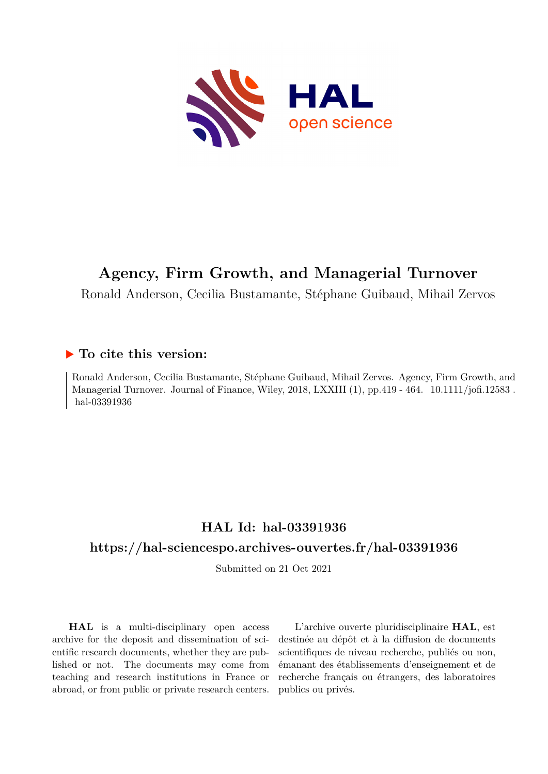

# **Agency, Firm Growth, and Managerial Turnover**

Ronald Anderson, Cecilia Bustamante, Stéphane Guibaud, Mihail Zervos

# **To cite this version:**

Ronald Anderson, Cecilia Bustamante, Stéphane Guibaud, Mihail Zervos. Agency, Firm Growth, and Managerial Turnover. Journal of Finance, Wiley, 2018, LXXIII (1), pp.419 - 464. 10.1111/jofi.12583. hal-03391936

# **HAL Id: hal-03391936**

# **<https://hal-sciencespo.archives-ouvertes.fr/hal-03391936>**

Submitted on 21 Oct 2021

**HAL** is a multi-disciplinary open access archive for the deposit and dissemination of scientific research documents, whether they are published or not. The documents may come from teaching and research institutions in France or abroad, or from public or private research centers.

L'archive ouverte pluridisciplinaire **HAL**, est destinée au dépôt et à la diffusion de documents scientifiques de niveau recherche, publiés ou non, émanant des établissements d'enseignement et de recherche français ou étrangers, des laboratoires publics ou privés.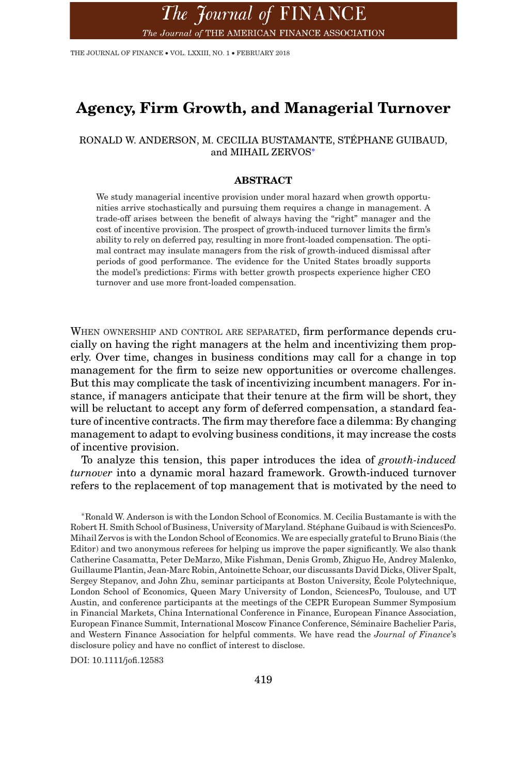THE JOURNAL OF FINANCE • VOL. LXXIII, NO. 1 • FEBRUARY 2018

# **Agency, Firm Growth, and Managerial Turnover**

# RONALD W. ANDERSON, M. CECILIA BUSTAMANTE, STEPHANE GUIBAUD, ´ and MIHAIL ZERVOS<sup>∗</sup>

#### **ABSTRACT**

We study managerial incentive provision under moral hazard when growth opportunities arrive stochastically and pursuing them requires a change in management. A trade-off arises between the benefit of always having the "right" manager and the cost of incentive provision. The prospect of growth-induced turnover limits the firm's ability to rely on deferred pay, resulting in more front-loaded compensation. The optimal contract may insulate managers from the risk of growth-induced dismissal after periods of good performance. The evidence for the United States broadly supports the model's predictions: Firms with better growth prospects experience higher CEO turnover and use more front-loaded compensation.

WHEN OWNERSHIP AND CONTROL ARE SEPARATED, firm performance depends crucially on having the right managers at the helm and incentivizing them properly. Over time, changes in business conditions may call for a change in top management for the firm to seize new opportunities or overcome challenges. But this may complicate the task of incentivizing incumbent managers. For instance, if managers anticipate that their tenure at the firm will be short, they will be reluctant to accept any form of deferred compensation, a standard feature of incentive contracts. The firm may therefore face a dilemma: By changing management to adapt to evolving business conditions, it may increase the costs of incentive provision.

To analyze this tension, this paper introduces the idea of *growth-induced turnover* into a dynamic moral hazard framework. Growth-induced turnover refers to the replacement of top management that is motivated by the need to

<sup>∗</sup>Ronald W. Anderson is with the London School of Economics. M. Cecilia Bustamante is with the Robert H. Smith School of Business, University of Maryland. Stephane Guibaud is with SciencesPo. ´ Mihail Zervos is with the London School of Economics. We are especially grateful to Bruno Biais (the Editor) and two anonymous referees for helping us improve the paper significantly. We also thank Catherine Casamatta, Peter DeMarzo, Mike Fishman, Denis Gromb, Zhiguo He, Andrey Malenko, Guillaume Plantin, Jean-Marc Robin, Antoinette Schoar, our discussants David Dicks, Oliver Spalt, Sergey Stepanov, and John Zhu, seminar participants at Boston University, Ecole Polytechnique, ´ London School of Economics, Queen Mary University of London, SciencesPo, Toulouse, and UT Austin, and conference participants at the meetings of the CEPR European Summer Symposium in Financial Markets, China International Conference in Finance, European Finance Association, European Finance Summit, International Moscow Finance Conference, Seminaire Bachelier Paris, ´ and Western Finance Association for helpful comments. We have read the *Journal of Finance*'s disclosure policy and have no conflict of interest to disclose.

DOI: 10.1111/jofi.12583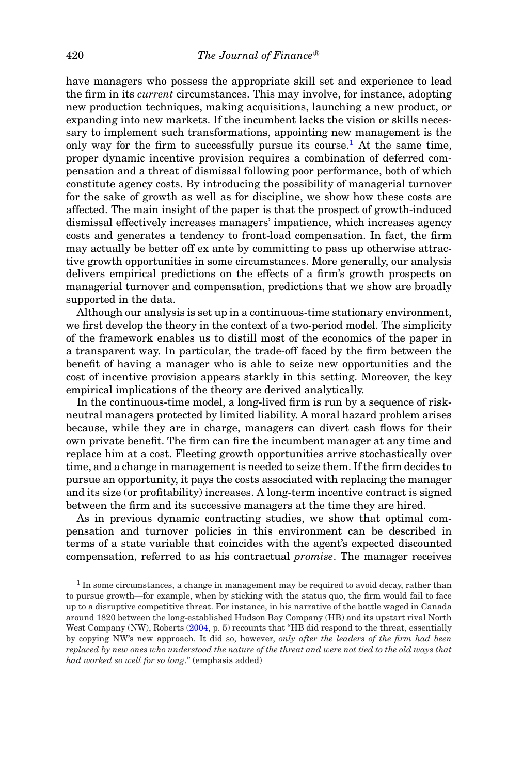have managers who possess the appropriate skill set and experience to lead the firm in its *current* circumstances. This may involve, for instance, adopting new production techniques, making acquisitions, launching a new product, or expanding into new markets. If the incumbent lacks the vision or skills necessary to implement such transformations, appointing new management is the only way for the firm to successfully pursue its course.<sup>1</sup> At the same time, proper dynamic incentive provision requires a combination of deferred compensation and a threat of dismissal following poor performance, both of which constitute agency costs. By introducing the possibility of managerial turnover for the sake of growth as well as for discipline, we show how these costs are affected. The main insight of the paper is that the prospect of growth-induced dismissal effectively increases managers' impatience, which increases agency costs and generates a tendency to front-load compensation. In fact, the firm may actually be better off ex ante by committing to pass up otherwise attractive growth opportunities in some circumstances. More generally, our analysis delivers empirical predictions on the effects of a firm's growth prospects on managerial turnover and compensation, predictions that we show are broadly supported in the data.

Although our analysis is set up in a continuous-time stationary environment, we first develop the theory in the context of a two-period model. The simplicity of the framework enables us to distill most of the economics of the paper in a transparent way. In particular, the trade-off faced by the firm between the benefit of having a manager who is able to seize new opportunities and the cost of incentive provision appears starkly in this setting. Moreover, the key empirical implications of the theory are derived analytically.

In the continuous-time model, a long-lived firm is run by a sequence of riskneutral managers protected by limited liability. A moral hazard problem arises because, while they are in charge, managers can divert cash flows for their own private benefit. The firm can fire the incumbent manager at any time and replace him at a cost. Fleeting growth opportunities arrive stochastically over time, and a change in management is needed to seize them. If the firm decides to pursue an opportunity, it pays the costs associated with replacing the manager and its size (or profitability) increases. A long-term incentive contract is signed between the firm and its successive managers at the time they are hired.

As in previous dynamic contracting studies, we show that optimal compensation and turnover policies in this environment can be described in terms of a state variable that coincides with the agent's expected discounted compensation, referred to as his contractual *promise*. The manager receives

<sup>1</sup> In some circumstances, a change in management may be required to avoid decay, rather than to pursue growth—for example, when by sticking with the status quo, the firm would fail to face up to a disruptive competitive threat. For instance, in his narrative of the battle waged in Canada around 1820 between the long-established Hudson Bay Company (HB) and its upstart rival North West Company (NW), Roberts (2004, p. 5) recounts that "HB did respond to the threat, essentially by copying NW's new approach. It did so, however, *only after the leaders of the firm had been replaced by new ones who understood the nature of the threat and were not tied to the old ways that had worked so well for so long*." (emphasis added)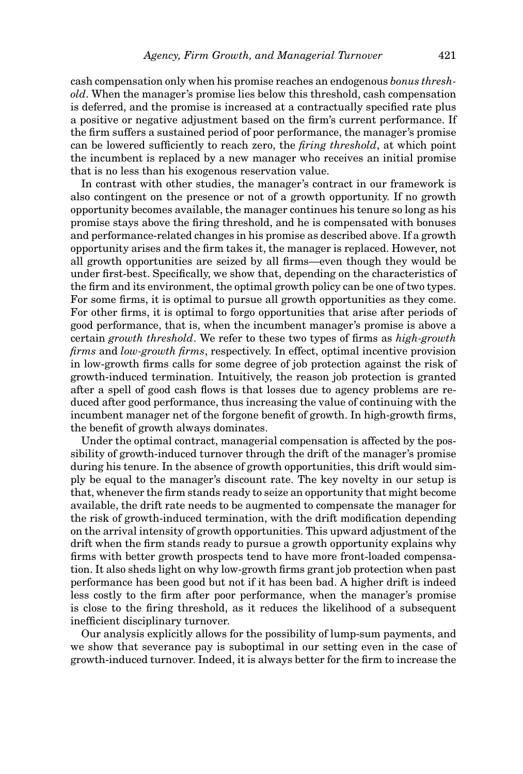cash compensation only when his promise reaches an endogenous *bonus threshold*. When the manager's promise lies below this threshold, cash compensation is deferred, and the promise is increased at a contractually specified rate plus a positive or negative adjustment based on the firm's current performance. If the firm suffers a sustained period of poor performance, the manager's promise can be lowered sufficiently to reach zero, the *firing threshold*, at which point the incumbent is replaced by a new manager who receives an initial promise that is no less than his exogenous reservation value.

In contrast with other studies, the manager's contract in our framework is also contingent on the presence or not of a growth opportunity. If no growth opportunity becomes available, the manager continues his tenure so long as his promise stays above the firing threshold, and he is compensated with bonuses and performance-related changes in his promise as described above. If a growth opportunity arises and the firm takes it, the manager is replaced. However, not all growth opportunities are seized by all firms—even though they would be under first-best. Specifically, we show that, depending on the characteristics of the firm and its environment, the optimal growth policy can be one of two types. For some firms, it is optimal to pursue all growth opportunities as they come. For other firms, it is optimal to forgo opportunities that arise after periods of good performance, that is, when the incumbent manager's promise is above a certain *growth threshold*. We refer to these two types of firms as *high-growth firms* and *low-growth firms*, respectively. In effect, optimal incentive provision in low-growth firms calls for some degree of job protection against the risk of growth-induced termination. Intuitively, the reason job protection is granted after a spell of good cash flows is that losses due to agency problems are reduced after good performance, thus increasing the value of continuing with the incumbent manager net of the forgone benefit of growth. In high-growth firms, the benefit of growth always dominates.

Under the optimal contract, managerial compensation is affected by the possibility of growth-induced turnover through the drift of the manager's promise during his tenure. In the absence of growth opportunities, this drift would simply be equal to the manager's discount rate. The key novelty in our setup is that, whenever the firm stands ready to seize an opportunity that might become available, the drift rate needs to be augmented to compensate the manager for the risk of growth-induced termination, with the drift modification depending on the arrival intensity of growth opportunities. This upward adjustment of the drift when the firm stands ready to pursue a growth opportunity explains why firms with better growth prospects tend to have more front-loaded compensation. It also sheds light on why low-growth firms grant job protection when past performance has been good but not if it has been bad. A higher drift is indeed less costly to the firm after poor performance, when the manager's promise is close to the firing threshold, as it reduces the likelihood of a subsequent inefficient disciplinary turnover.

Our analysis explicitly allows for the possibility of lump-sum payments, and we show that severance pay is suboptimal in our setting even in the case of growth-induced turnover. Indeed, it is always better for the firm to increase the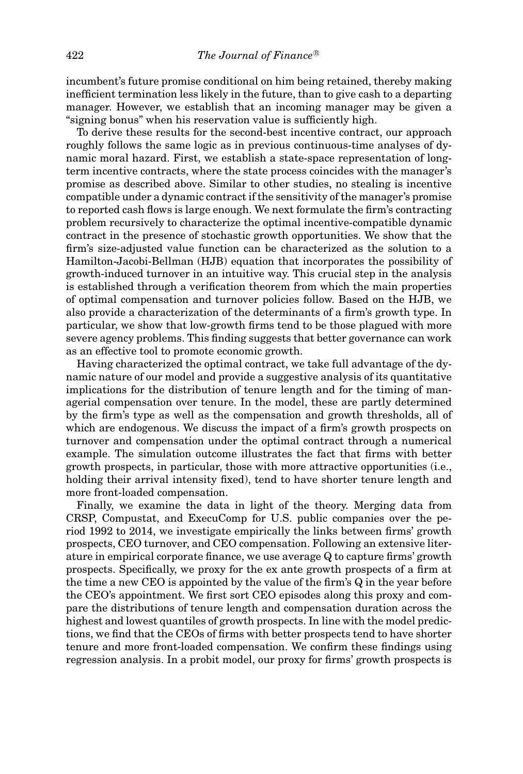incumbent's future promise conditional on him being retained, thereby making inefficient termination less likely in the future, than to give cash to a departing manager. However, we establish that an incoming manager may be given a "signing bonus" when his reservation value is sufficiently high.

To derive these results for the second-best incentive contract, our approach roughly follows the same logic as in previous continuous-time analyses of dynamic moral hazard. First, we establish a state-space representation of longterm incentive contracts, where the state process coincides with the manager's promise as described above. Similar to other studies, no stealing is incentive compatible under a dynamic contract if the sensitivity of the manager's promise to reported cash flows is large enough. We next formulate the firm's contracting problem recursively to characterize the optimal incentive-compatible dynamic contract in the presence of stochastic growth opportunities. We show that the firm's size-adjusted value function can be characterized as the solution to a Hamilton-Jacobi-Bellman (HJB) equation that incorporates the possibility of growth-induced turnover in an intuitive way. This crucial step in the analysis is established through a verification theorem from which the main properties of optimal compensation and turnover policies follow. Based on the HJB, we also provide a characterization of the determinants of a firm's growth type. In particular, we show that low-growth firms tend to be those plagued with more severe agency problems. This finding suggests that better governance can work as an effective tool to promote economic growth.

Having characterized the optimal contract, we take full advantage of the dynamic nature of our model and provide a suggestive analysis of its quantitative implications for the distribution of tenure length and for the timing of managerial compensation over tenure. In the model, these are partly determined by the firm's type as well as the compensation and growth thresholds, all of which are endogenous. We discuss the impact of a firm's growth prospects on turnover and compensation under the optimal contract through a numerical example. The simulation outcome illustrates the fact that firms with better growth prospects, in particular, those with more attractive opportunities (i.e., holding their arrival intensity fixed), tend to have shorter tenure length and more front-loaded compensation.

Finally, we examine the data in light of the theory. Merging data from CRSP, Compustat, and ExecuComp for U.S. public companies over the period 1992 to 2014, we investigate empirically the links between firms' growth prospects, CEO turnover, and CEO compensation. Following an extensive literature in empirical corporate finance, we use average Q to capture firms' growth prospects. Specifically, we proxy for the ex ante growth prospects of a firm at the time a new CEO is appointed by the value of the firm's Q in the year before the CEO's appointment. We first sort CEO episodes along this proxy and compare the distributions of tenure length and compensation duration across the highest and lowest quantiles of growth prospects. In line with the model predictions, we find that the CEOs of firms with better prospects tend to have shorter tenure and more front-loaded compensation. We confirm these findings using regression analysis. In a probit model, our proxy for firms' growth prospects is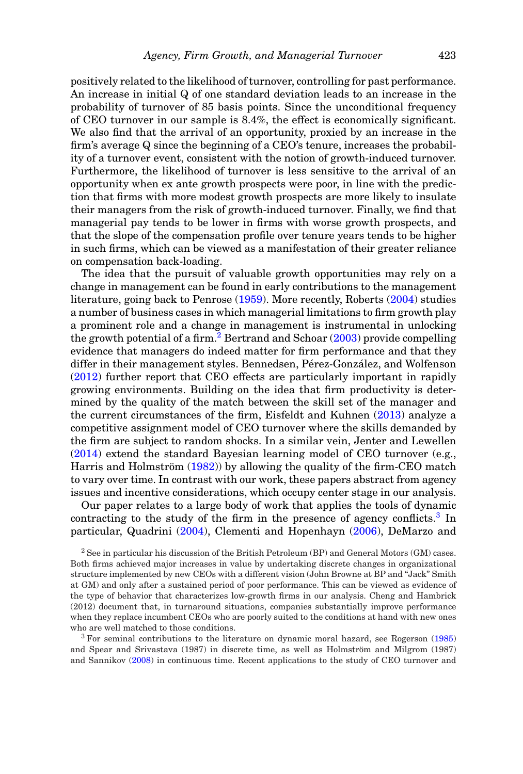positively related to the likelihood of turnover, controlling for past performance. An increase in initial Q of one standard deviation leads to an increase in the probability of turnover of 85 basis points. Since the unconditional frequency of CEO turnover in our sample is 8.4%, the effect is economically significant. We also find that the arrival of an opportunity, proxied by an increase in the firm's average Q since the beginning of a CEO's tenure, increases the probability of a turnover event, consistent with the notion of growth-induced turnover. Furthermore, the likelihood of turnover is less sensitive to the arrival of an opportunity when ex ante growth prospects were poor, in line with the prediction that firms with more modest growth prospects are more likely to insulate their managers from the risk of growth-induced turnover. Finally, we find that managerial pay tends to be lower in firms with worse growth prospects, and that the slope of the compensation profile over tenure years tends to be higher in such firms, which can be viewed as a manifestation of their greater reliance on compensation back-loading.

The idea that the pursuit of valuable growth opportunities may rely on a change in management can be found in early contributions to the management literature, going back to Penrose (1959). More recently, Roberts (2004) studies a number of business cases in which managerial limitations to firm growth play a prominent role and a change in management is instrumental in unlocking the growth potential of a firm.<sup>2</sup> Bertrand and Schoar  $(2003)$  provide compelling evidence that managers do indeed matter for firm performance and that they differ in their management styles. Bennedsen, Pérez-González, and Wolfenson (2012) further report that CEO effects are particularly important in rapidly growing environments. Building on the idea that firm productivity is determined by the quality of the match between the skill set of the manager and the current circumstances of the firm, Eisfeldt and Kuhnen (2013) analyze a competitive assignment model of CEO turnover where the skills demanded by the firm are subject to random shocks. In a similar vein, Jenter and Lewellen (2014) extend the standard Bayesian learning model of CEO turnover (e.g., Harris and Holmström  $(1982)$ ) by allowing the quality of the firm-CEO match to vary over time. In contrast with our work, these papers abstract from agency issues and incentive considerations, which occupy center stage in our analysis.

Our paper relates to a large body of work that applies the tools of dynamic contracting to the study of the firm in the presence of agency conflicts.<sup>3</sup> In particular, Quadrini (2004), Clementi and Hopenhayn (2006), DeMarzo and

<sup>2</sup> See in particular his discussion of the British Petroleum (BP) and General Motors (GM) cases. Both firms achieved major increases in value by undertaking discrete changes in organizational structure implemented by new CEOs with a different vision (John Browne at BP and "Jack" Smith at GM) and only after a sustained period of poor performance. This can be viewed as evidence of the type of behavior that characterizes low-growth firms in our analysis. Cheng and Hambrick (2012) document that, in turnaround situations, companies substantially improve performance when they replace incumbent CEOs who are poorly suited to the conditions at hand with new ones who are well matched to those conditions.

<sup>3</sup> For seminal contributions to the literature on dynamic moral hazard, see Rogerson (1985) and Spear and Srivastava (1987) in discrete time, as well as Holmström and Milgrom (1987) and Sannikov (2008) in continuous time. Recent applications to the study of CEO turnover and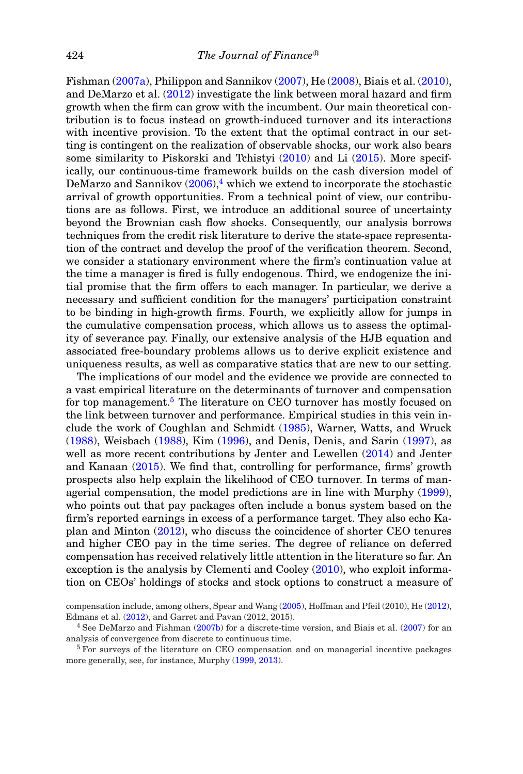Fishman (2007a), Philippon and Sannikov (2007), He (2008), Biais et al. (2010), and DeMarzo et al. (2012) investigate the link between moral hazard and firm growth when the firm can grow with the incumbent. Our main theoretical contribution is to focus instead on growth-induced turnover and its interactions with incentive provision. To the extent that the optimal contract in our setting is contingent on the realization of observable shocks, our work also bears some similarity to Piskorski and Tchistyi (2010) and Li (2015). More specifically, our continuous-time framework builds on the cash diversion model of DeMarzo and Sannikov  $(2006)^4$  which we extend to incorporate the stochastic arrival of growth opportunities. From a technical point of view, our contributions are as follows. First, we introduce an additional source of uncertainty beyond the Brownian cash flow shocks. Consequently, our analysis borrows techniques from the credit risk literature to derive the state-space representation of the contract and develop the proof of the verification theorem. Second, we consider a stationary environment where the firm's continuation value at the time a manager is fired is fully endogenous. Third, we endogenize the initial promise that the firm offers to each manager. In particular, we derive a necessary and sufficient condition for the managers' participation constraint to be binding in high-growth firms. Fourth, we explicitly allow for jumps in the cumulative compensation process, which allows us to assess the optimality of severance pay. Finally, our extensive analysis of the HJB equation and associated free-boundary problems allows us to derive explicit existence and uniqueness results, as well as comparative statics that are new to our setting.

The implications of our model and the evidence we provide are connected to a vast empirical literature on the determinants of turnover and compensation for top management.<sup>5</sup> The literature on CEO turnover has mostly focused on the link between turnover and performance. Empirical studies in this vein include the work of Coughlan and Schmidt (1985), Warner, Watts, and Wruck (1988), Weisbach (1988), Kim (1996), and Denis, Denis, and Sarin (1997), as well as more recent contributions by Jenter and Lewellen (2014) and Jenter and Kanaan (2015). We find that, controlling for performance, firms' growth prospects also help explain the likelihood of CEO turnover. In terms of managerial compensation, the model predictions are in line with Murphy (1999), who points out that pay packages often include a bonus system based on the firm's reported earnings in excess of a performance target. They also echo Kaplan and Minton (2012), who discuss the coincidence of shorter CEO tenures and higher CEO pay in the time series. The degree of reliance on deferred compensation has received relatively little attention in the literature so far. An exception is the analysis by Clementi and Cooley (2010), who exploit information on CEOs' holdings of stocks and stock options to construct a measure of

compensation include, among others, Spear and Wang (2005), Hoffman and Pfeil (2010), He (2012), Edmans et al. (2012), and Garret and Pavan (2012, 2015).

<sup>4</sup> See DeMarzo and Fishman (2007b) for a discrete-time version, and Biais et al. (2007) for an analysis of convergence from discrete to continuous time.

<sup>5</sup> For surveys of the literature on CEO compensation and on managerial incentive packages more generally, see, for instance, Murphy (1999, 2013).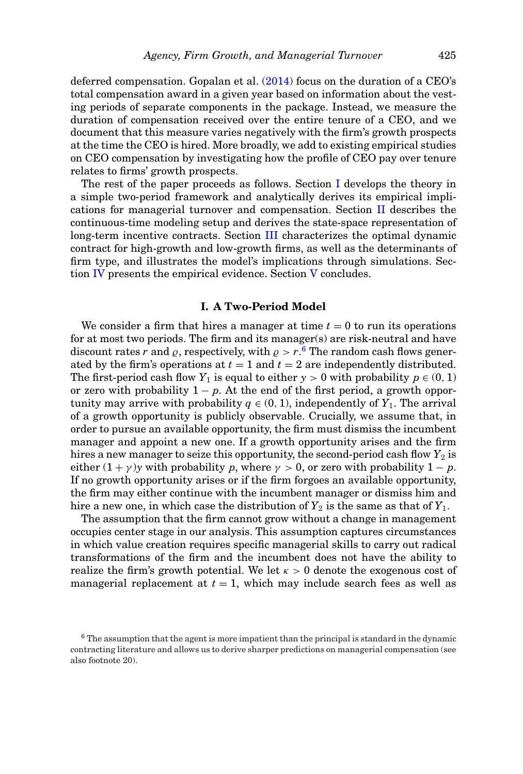deferred compensation. Gopalan et al. (2014) focus on the duration of a CEO's total compensation award in a given year based on information about the vesting periods of separate components in the package. Instead, we measure the duration of compensation received over the entire tenure of a CEO, and we document that this measure varies negatively with the firm's growth prospects at the time the CEO is hired. More broadly, we add to existing empirical studies on CEO compensation by investigating how the profile of CEO pay over tenure relates to firms' growth prospects.

The rest of the paper proceeds as follows. Section I develops the theory in a simple two-period framework and analytically derives its empirical implications for managerial turnover and compensation. Section II describes the continuous-time modeling setup and derives the state-space representation of long-term incentive contracts. Section III characterizes the optimal dynamic contract for high-growth and low-growth firms, as well as the determinants of firm type, and illustrates the model's implications through simulations. Section IV presents the empirical evidence. Section V concludes.

#### **I. A Two-Period Model**

We consider a firm that hires a manager at time  $t = 0$  to run its operations for at most two periods. The firm and its manager(s) are risk-neutral and have discount rates *r* and  $\varrho$ , respectively, with  $\varrho > r$ .<sup>6</sup> The random cash flows generated by the firm's operations at  $t = 1$  and  $t = 2$  are independently distributed. The first-period cash flow  $Y_1$  is equal to either  $y > 0$  with probability  $p \in (0, 1)$ or zero with probability  $1 - p$ . At the end of the first period, a growth opportunity may arrive with probability  $q \in (0, 1)$ , independently of  $Y_1$ . The arrival of a growth opportunity is publicly observable. Crucially, we assume that, in order to pursue an available opportunity, the firm must dismiss the incumbent manager and appoint a new one. If a growth opportunity arises and the firm hires a new manager to seize this opportunity, the second-period cash flow  $Y_2$  is either  $(1 + \gamma)y$  with probability *p*, where  $\gamma > 0$ , or zero with probability  $1 - p$ . If no growth opportunity arises or if the firm forgoes an available opportunity, the firm may either continue with the incumbent manager or dismiss him and hire a new one, in which case the distribution of  $Y_2$  is the same as that of  $Y_1$ .

The assumption that the firm cannot grow without a change in management occupies center stage in our analysis. This assumption captures circumstances in which value creation requires specific managerial skills to carry out radical transformations of the firm and the incumbent does not have the ability to realize the firm's growth potential. We let  $\kappa > 0$  denote the exogenous cost of managerial replacement at  $t = 1$ , which may include search fees as well as

<sup>&</sup>lt;sup>6</sup> The assumption that the agent is more impatient than the principal is standard in the dynamic contracting literature and allows us to derive sharper predictions on managerial compensation (see also footnote 20).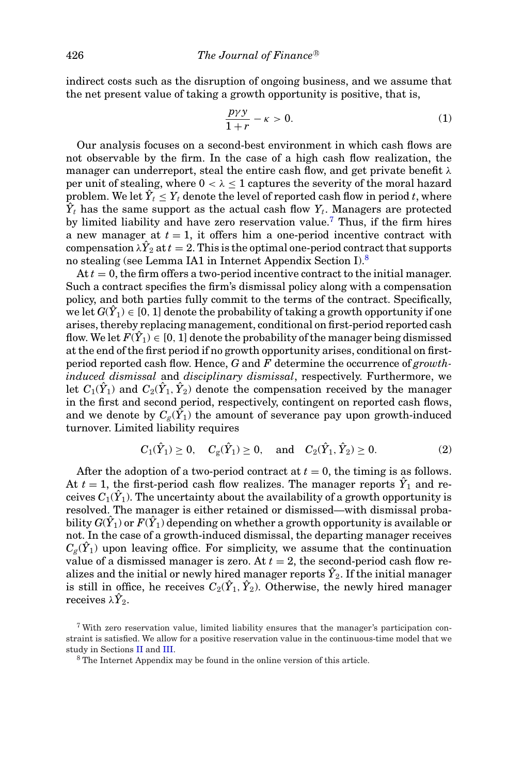indirect costs such as the disruption of ongoing business, and we assume that the net present value of taking a growth opportunity is positive, that is,

$$
\frac{p\gamma y}{1+r} - \kappa > 0. \tag{1}
$$

Our analysis focuses on a second-best environment in which cash flows are not observable by the firm. In the case of a high cash flow realization, the manager can underreport, steal the entire cash flow, and get private benefit  $\lambda$ per unit of stealing, where  $0 < \lambda \leq 1$  captures the severity of the moral hazard problem. We let  $\hat{Y}_t \leq Y_t$  denote the level of reported cash flow in period *t*, where  $\hat{Y}_t$  has the same support as the actual cash flow  $Y_t$ . Managers are protected by limited liability and have zero reservation value.<sup>7</sup> Thus, if the firm hires a new manager at  $t = 1$ , it offers him a one-period incentive contract with compensation  $\lambda \hat{Y}_2$  at  $t=2$ . This is the optimal one-period contract that supports no stealing (see Lemma IA1 in Internet Appendix Section I).<sup>8</sup>

At  $t = 0$ , the firm offers a two-period incentive contract to the initial manager. Such a contract specifies the firm's dismissal policy along with a compensation policy, and both parties fully commit to the terms of the contract. Specifically, we let  $G(Y_1) \in [0, 1]$  denote the probability of taking a growth opportunity if one arises, thereby replacing management, conditional on first-period reported cash flow. We let  $F(\hat{Y}_1) \in [0, 1]$  denote the probability of the manager being dismissed at the end of the first period if no growth opportunity arises, conditional on firstperiod reported cash flow. Hence, *G* and *F* determine the occurrence of *growthinduced dismissal* and *disciplinary dismissal*, respectively. Furthermore, we let  $C_1(\hat{Y}_1)$  and  $C_2(\hat{Y}_1, \hat{Y}_2)$  denote the compensation received by the manager in the first and second period, respectively, contingent on reported cash flows, and we denote by  $C_{g}(\hat{Y}_1)$  the amount of severance pay upon growth-induced turnover. Limited liability requires

$$
C_1(\hat{Y}_1) \ge 0, \quad C_g(\hat{Y}_1) \ge 0, \quad \text{and} \quad C_2(\hat{Y}_1, \hat{Y}_2) \ge 0. \tag{2}
$$

After the adoption of a two-period contract at  $t = 0$ , the timing is as follows. At  $t = 1$ , the first-period cash flow realizes. The manager reports  $\hat{Y}_1$  and receives  $C_1(\hat{Y}_1)$ . The uncertainty about the availability of a growth opportunity is resolved. The manager is either retained or dismissed—with dismissal probability  $G(\hat{Y}_1)$  or  $F(\hat{Y}_1)$  depending on whether a growth opportunity is available or not. In the case of a growth-induced dismissal, the departing manager receives  $C_g(Y_1)$  upon leaving office. For simplicity, we assume that the continuation value of a dismissed manager is zero. At  $t = 2$ , the second-period cash flow realizes and the initial or newly hired manager reports  $\hat{Y}_2$ . If the initial manager is still in office, he receives  $C_2(\hat{Y}_1, \hat{Y}_2)$ . Otherwise, the newly hired manager receives  $\lambda \hat{Y}_2$ .

<sup>&</sup>lt;sup>7</sup> With zero reservation value, limited liability ensures that the manager's participation constraint is satisfied. We allow for a positive reservation value in the continuous-time model that we study in Sections II and III.

<sup>8</sup> The Internet Appendix may be found in the online version of this article.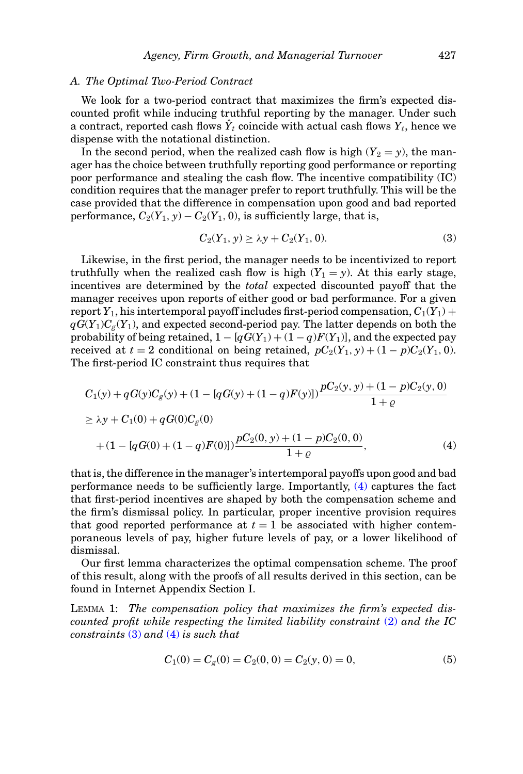#### *A. The Optimal Two-Period Contract*

We look for a two-period contract that maximizes the firm's expected discounted profit while inducing truthful reporting by the manager. Under such a contract, reported cash flows  $Y_t$  coincide with actual cash flows  $Y_t$ , hence we dispense with the notational distinction.

In the second period, when the realized cash flow is high  $(Y_2 = y)$ , the manager has the choice between truthfully reporting good performance or reporting poor performance and stealing the cash flow. The incentive compatibility (IC) condition requires that the manager prefer to report truthfully. This will be the case provided that the difference in compensation upon good and bad reported performance,  $C_2(Y_1, y) - C_2(Y_1, 0)$ , is sufficiently large, that is,

$$
C_2(Y_1, y) \ge \lambda y + C_2(Y_1, 0). \tag{3}
$$

Likewise, in the first period, the manager needs to be incentivized to report truthfully when the realized cash flow is high  $(Y_1 = y)$ . At this early stage, incentives are determined by the *total* expected discounted payoff that the manager receives upon reports of either good or bad performance. For a given report  $Y_1$ , his intertemporal payoff includes first-period compensation,  $C_1(Y_1)$  +  $qG(Y_1)C_q(Y_1)$ , and expected second-period pay. The latter depends on both the probability of being retained,  $1 - [qG(Y_1) + (1 - q)F(Y_1)]$ , and the expected pay received at  $t = 2$  conditional on being retained,  $pC_2(Y_1, y) + (1 - p)C_2(Y_1, 0)$ . The first-period IC constraint thus requires that

$$
C_1(y) + qG(y)C_g(y) + (1 - [qG(y) + (1 - q)F(y)]) \frac{pC_2(y, y) + (1 - p)C_2(y, 0)}{1 + \varrho}
$$
  
\n
$$
\geq \lambda y + C_1(0) + qG(0)C_g(0)
$$
  
\n
$$
+ (1 - [qG(0) + (1 - q)F(0)]) \frac{pC_2(0, y) + (1 - p)C_2(0, 0)}{1 + \varrho},
$$
 (4)

that is, the difference in the manager's intertemporal payoffs upon good and bad performance needs to be sufficiently large. Importantly, (4) captures the fact that first-period incentives are shaped by both the compensation scheme and the firm's dismissal policy. In particular, proper incentive provision requires that good reported performance at  $t = 1$  be associated with higher contemporaneous levels of pay, higher future levels of pay, or a lower likelihood of dismissal.

Our first lemma characterizes the optimal compensation scheme. The proof of this result, along with the proofs of all results derived in this section, can be found in Internet Appendix Section I.

LEMMA 1: *The compensation policy that maximizes the firm's expected discounted profit while respecting the limited liability constraint* (2) *and the IC constraints* (3) *and* (4) *is such that*

$$
C_1(0) = C_g(0) = C_2(0, 0) = C_2(y, 0) = 0,
$$
\n(5)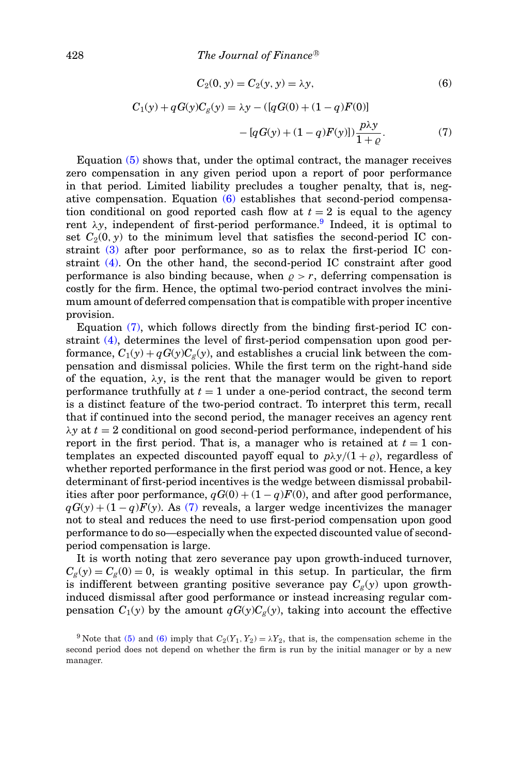$$
C_2(0, y) = C_2(y, y) = \lambda y,
$$
\n(6)  
\n
$$
C_1(y) + qG(y)C_g(y) = \lambda y - ([qG(0) + (1 - q)F(0)] - [qG(y) + (1 - q)F(y)])\frac{p\lambda y}{1 + \varrho}.
$$

Equation  $(5)$  shows that, under the optimal contract, the manager receives zero compensation in any given period upon a report of poor performance in that period. Limited liability precludes a tougher penalty, that is, negative compensation. Equation (6) establishes that second-period compensation conditional on good reported cash flow at  $t = 2$  is equal to the agency rent  $\lambda y$ , independent of first-period performance.<sup>9</sup> Indeed, it is optimal to set  $C_2(0, y)$  to the minimum level that satisfies the second-period IC constraint (3) after poor performance, so as to relax the first-period IC constraint (4). On the other hand, the second-period IC constraint after good performance is also binding because, when  $\rho > r$ , deferring compensation is costly for the firm. Hence, the optimal two-period contract involves the minimum amount of deferred compensation that is compatible with proper incentive provision.

Equation (7), which follows directly from the binding first-period IC constraint (4), determines the level of first-period compensation upon good performance,  $C_1(y) + qG(y)C_g(y)$ , and establishes a crucial link between the compensation and dismissal policies. While the first term on the right-hand side of the equation,  $\lambda y$ , is the rent that the manager would be given to report performance truthfully at  $t = 1$  under a one-period contract, the second term is a distinct feature of the two-period contract. To interpret this term, recall that if continued into the second period, the manager receives an agency rent λ*y* at *t* = 2 conditional on good second-period performance, independent of his report in the first period. That is, a manager who is retained at  $t = 1$  contemplates an expected discounted payoff equal to  $p\lambda y/(1+\varrho)$ , regardless of whether reported performance in the first period was good or not. Hence, a key determinant of first-period incentives is the wedge between dismissal probabilities after poor performance,  $qG(0) + (1-q)F(0)$ , and after good performance,  $qG(y) + (1-q)F(y)$ . As (7) reveals, a larger wedge incentivizes the manager not to steal and reduces the need to use first-period compensation upon good performance to do so—especially when the expected discounted value of secondperiod compensation is large.

It is worth noting that zero severance pay upon growth-induced turnover,  $C_g(y) = C_g(0) = 0$ , is weakly optimal in this setup. In particular, the firm is indifferent between granting positive severance pay  $C_g(y)$  upon growthinduced dismissal after good performance or instead increasing regular compensation  $C_1(y)$  by the amount  $qG(y)C_g(y)$ , taking into account the effective

<sup>&</sup>lt;sup>9</sup> Note that (5) and (6) imply that  $C_2(Y_1, Y_2) = \lambda Y_2$ , that is, the compensation scheme in the second period does not depend on whether the firm is run by the initial manager or by a new manager.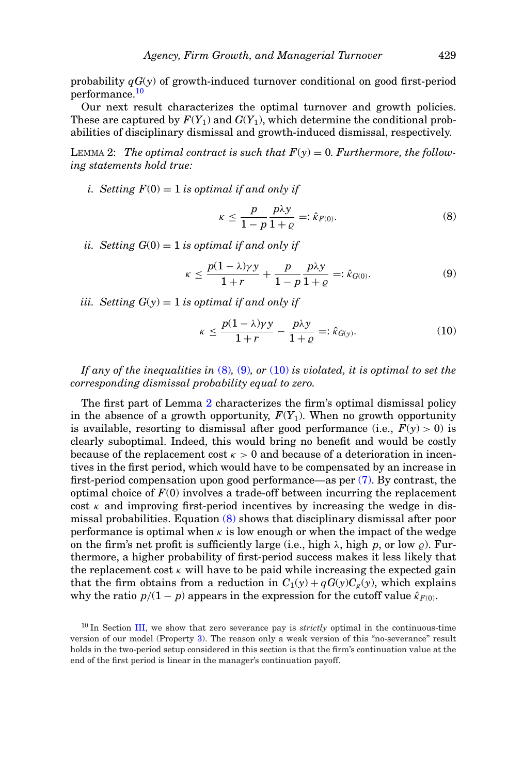probability  $qG(y)$  of growth-induced turnover conditional on good first-period performance.<sup>10</sup>

Our next result characterizes the optimal turnover and growth policies. These are captured by  $F(Y_1)$  and  $G(Y_1)$ , which determine the conditional probabilities of disciplinary dismissal and growth-induced dismissal, respectively.

LEMMA 2: The optimal contract is such that  $F(y) = 0$ . Furthermore, the follow*ing statements hold true:*

*i.* Setting  $F(0) = 1$  *is optimal if and only if* 

$$
\kappa \le \frac{p}{1-p} \frac{p\lambda y}{1+\varrho} =: \hat{\kappa}_{F(0)}.
$$
 (8)

*ii.* Setting  $G(0) = 1$  is optimal if and only if

$$
\kappa \le \frac{p(1-\lambda)\gamma y}{1+r} + \frac{p}{1-p} \frac{p\lambda y}{1+\varrho} =: \hat{\kappa}_{G(0)}.
$$
 (9)

*iii.* Setting  $G(y) = 1$  *is optimal if and only if* 

$$
\kappa \le \frac{p(1-\lambda)\gamma y}{1+r} - \frac{p\lambda y}{1+\varrho} =: \hat{\kappa}_{G(y)}.
$$
 (10)

*If any of the inequalities in* (8)*,* (9)*, or* (10) *is violated, it is optimal to set the corresponding dismissal probability equal to zero.*

The first part of Lemma 2 characterizes the firm's optimal dismissal policy in the absence of a growth opportunity,  $F(Y_1)$ . When no growth opportunity is available, resorting to dismissal after good performance (i.e.,  $F(y) > 0$ ) is clearly suboptimal. Indeed, this would bring no benefit and would be costly because of the replacement cost  $\kappa > 0$  and because of a deterioration in incentives in the first period, which would have to be compensated by an increase in first-period compensation upon good performance—as per (7). By contrast, the optimal choice of  $F(0)$  involves a trade-off between incurring the replacement cost  $\kappa$  and improving first-period incentives by increasing the wedge in dismissal probabilities. Equation (8) shows that disciplinary dismissal after poor performance is optimal when  $\kappa$  is low enough or when the impact of the wedge on the firm's net profit is sufficiently large (i.e., high  $\lambda$ , high  $p$ , or low  $\varrho$ ). Furthermore, a higher probability of first-period success makes it less likely that the replacement cost  $\kappa$  will have to be paid while increasing the expected gain that the firm obtains from a reduction in  $C_1(y) + qG(y)C_g(y)$ , which explains why the ratio  $p/(1-p)$  appears in the expression for the cutoff value  $\hat{\kappa}_{F(0)}$ .

<sup>10</sup> In Section III, we show that zero severance pay is *strictly* optimal in the continuous-time version of our model (Property 3). The reason only a weak version of this "no-severance" result holds in the two-period setup considered in this section is that the firm's continuation value at the end of the first period is linear in the manager's continuation payoff.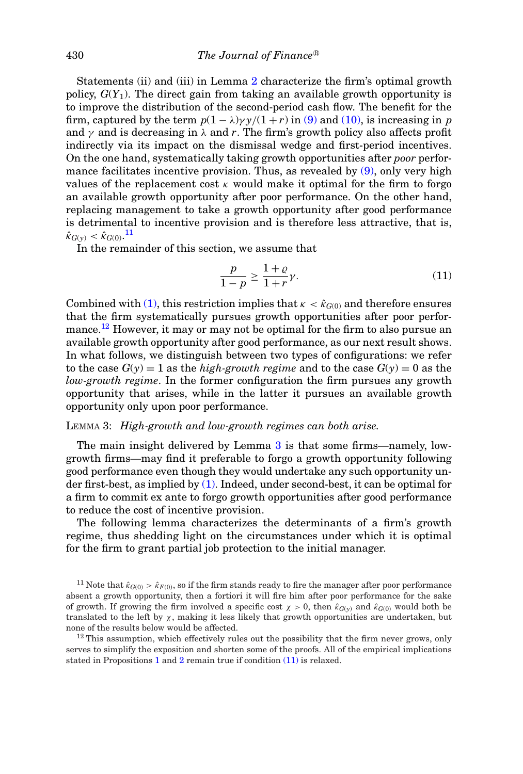Statements (ii) and (iii) in Lemma 2 characterize the firm's optimal growth policy,  $G(Y_1)$ . The direct gain from taking an available growth opportunity is to improve the distribution of the second-period cash flow. The benefit for the firm, captured by the term  $p(1 - \lambda)\gamma y/(1 + r)$  in (9) and (10), is increasing in *p* and  $\gamma$  and is decreasing in  $\lambda$  and r. The firm's growth policy also affects profit indirectly via its impact on the dismissal wedge and first-period incentives. On the one hand, systematically taking growth opportunities after *poor* performance facilitates incentive provision. Thus, as revealed by  $(9)$ , only very high values of the replacement cost  $\kappa$  would make it optimal for the firm to forgo an available growth opportunity after poor performance. On the other hand, replacing management to take a growth opportunity after good performance is detrimental to incentive provision and is therefore less attractive, that is,  $\hat{\kappa}_{G(y)} < \hat{\kappa}_{G(0)}$ .<sup>11</sup>

In the remainder of this section, we assume that

$$
\frac{p}{1-p} \ge \frac{1+\varrho}{1+r} \gamma. \tag{11}
$$

Combined with (1), this restriction implies that  $\kappa < \hat{\kappa}_{G(0)}$  and therefore ensures that the firm systematically pursues growth opportunities after poor performance.<sup>12</sup> However, it may or may not be optimal for the firm to also pursue an available growth opportunity after good performance, as our next result shows. In what follows, we distinguish between two types of configurations: we refer to the case  $G(y) = 1$  as the *high-growth regime* and to the case  $G(y) = 0$  as the *low-growth regime*. In the former configuration the firm pursues any growth opportunity that arises, while in the latter it pursues an available growth opportunity only upon poor performance.

## LEMMA 3: *High-growth and low-growth regimes can both arise.*

The main insight delivered by Lemma 3 is that some firms—namely, lowgrowth firms—may find it preferable to forgo a growth opportunity following good performance even though they would undertake any such opportunity under first-best, as implied by (1). Indeed, under second-best, it can be optimal for a firm to commit ex ante to forgo growth opportunities after good performance to reduce the cost of incentive provision.

The following lemma characterizes the determinants of a firm's growth regime, thus shedding light on the circumstances under which it is optimal for the firm to grant partial job protection to the initial manager.

<sup>11</sup> Note that  $\hat{\kappa}_{G(0)} > \hat{\kappa}_{F(0)}$ , so if the firm stands ready to fire the manager after poor performance absent a growth opportunity, then a fortiori it will fire him after poor performance for the sake of growth. If growing the firm involved a specific cost  $\chi > 0$ , then  $\hat{\kappa}_{G(y)}$  and  $\hat{\kappa}_{G(0)}$  would both be translated to the left by  $\chi$ , making it less likely that growth opportunities are undertaken, but none of the results below would be affected.

 $12$  This assumption, which effectively rules out the possibility that the firm never grows, only serves to simplify the exposition and shorten some of the proofs. All of the empirical implications stated in Propositions 1 and 2 remain true if condition (11) is relaxed.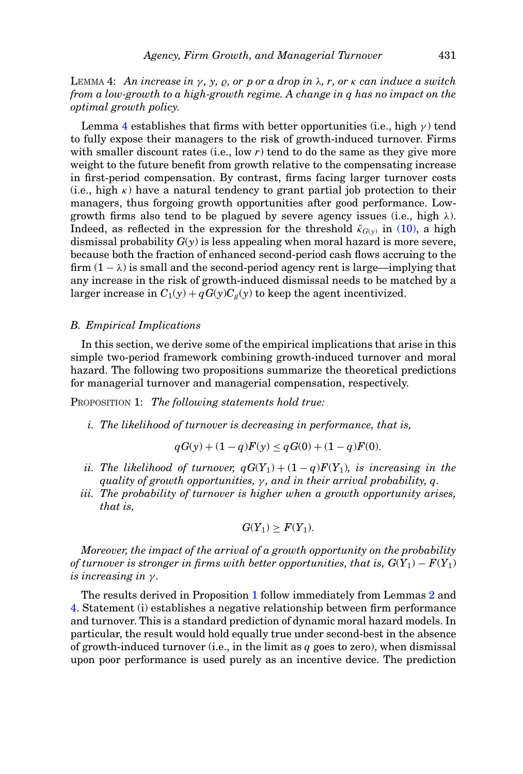LEMMA 4: An increase in γ, y, *ǫ, or p or a drop in λ, r, or κ can induce a switch from a low-growth to a high-growth regime. A change in q has no impact on the optimal growth policy.*

Lemma 4 establishes that firms with better opportunities (i.e., high  $\gamma$ ) tend to fully expose their managers to the risk of growth-induced turnover. Firms with smaller discount rates (i.e., low  $r$ ) tend to do the same as they give more weight to the future benefit from growth relative to the compensating increase in first-period compensation. By contrast, firms facing larger turnover costs (i.e., high  $\kappa$ ) have a natural tendency to grant partial job protection to their managers, thus forgoing growth opportunities after good performance. Lowgrowth firms also tend to be plagued by severe agency issues (i.e., high  $\lambda$ ). Indeed, as reflected in the expression for the threshold  $\hat{\kappa}_{G(y)}$  in (10), a high dismissal probability  $G(y)$  is less appealing when moral hazard is more severe, because both the fraction of enhanced second-period cash flows accruing to the firm  $(1 - \lambda)$  is small and the second-period agency rent is large—implying that any increase in the risk of growth-induced dismissal needs to be matched by a larger increase in  $C_1(y) + qG(y)C_g(y)$  to keep the agent incentivized.

#### *B. Empirical Implications*

In this section, we derive some of the empirical implications that arise in this simple two-period framework combining growth-induced turnover and moral hazard. The following two propositions summarize the theoretical predictions for managerial turnover and managerial compensation, respectively.

PROPOSITION 1: *The following statements hold true:*

*i. The likelihood of turnover is decreasing in performance, that is,*

$$
qG(y) + (1 - q)F(y) \le qG(0) + (1 - q)F(0).
$$

- *ii. The likelihood of turnover,*  $qG(Y_1) + (1 q)F(Y_1)$ *, is increasing in the quality of growth opportunities,* γ *, and in their arrival probability, q.*
- *iii. The probability of turnover is higher when a growth opportunity arises, that is,*

$$
G(Y_1) \geq F(Y_1).
$$

*Moreover, the impact of the arrival of a growth opportunity on the probability of turnover is stronger in firms with better opportunities, that is,*  $G(Y_1) - F(Y_1)$ *is increasing in* γ *.*

The results derived in Proposition 1 follow immediately from Lemmas 2 and 4. Statement (i) establishes a negative relationship between firm performance and turnover. This is a standard prediction of dynamic moral hazard models. In particular, the result would hold equally true under second-best in the absence of growth-induced turnover (i.e., in the limit as *q* goes to zero), when dismissal upon poor performance is used purely as an incentive device. The prediction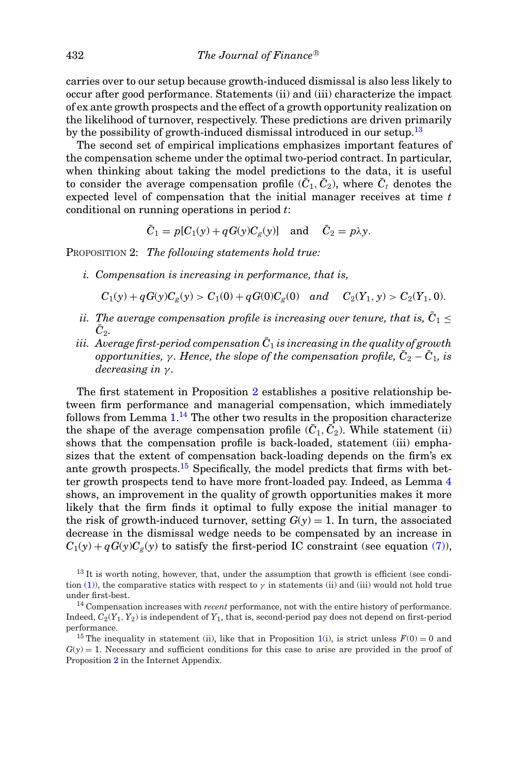carries over to our setup because growth-induced dismissal is also less likely to occur after good performance. Statements (ii) and (iii) characterize the impact of ex ante growth prospects and the effect of a growth opportunity realization on the likelihood of turnover, respectively. These predictions are driven primarily by the possibility of growth-induced dismissal introduced in our setup.<sup>13</sup>

The second set of empirical implications emphasizes important features of the compensation scheme under the optimal two-period contract. In particular, when thinking about taking the model predictions to the data, it is useful to consider the average compensation profile  $(\bar{C}_1, C_2)$ , where  $C_t$  denotes the expected level of compensation that the initial manager receives at time *t* conditional on running operations in period *t*:

$$
\bar{C}_1 = p[C_1(y) + qG(y)C_g(y)] \text{ and } \bar{C}_2 = p\lambda y.
$$

PROPOSITION 2: *The following statements hold true:*

*i. Compensation is increasing in performance, that is,*

 $C_1(y) + qG(y)C_g(y) > C_1(0) + qG(0)C_g(0)$  *and*  $C_2(Y_1, y) > C_2(Y_1, 0)$ .

- *ii. The average compensation profile is increasing over tenure, that is,*  $\bar{C}_1 \leq$  $C_2$ .
- *iii.* Average first-period compensation  $\bar{C}_1$  is increasing in the quality of growth *opportunities,*  $\gamma$ *. Hence, the slope of the compensation profile,*  $\bar{C}_2 - \bar{C}_1$ *, is decreasing in* γ *.*

The first statement in Proposition 2 establishes a positive relationship between firm performance and managerial compensation, which immediately follows from Lemma  $1<sup>14</sup>$  The other two results in the proposition characterize the shape of the average compensation profile  $(\bar{C}_1, \bar{C}_2)$ . While statement (ii) shows that the compensation profile is back-loaded, statement (iii) emphasizes that the extent of compensation back-loading depends on the firm's ex ante growth prospects. $15$  Specifically, the model predicts that firms with better growth prospects tend to have more front-loaded pay. Indeed, as Lemma 4 shows, an improvement in the quality of growth opportunities makes it more likely that the firm finds it optimal to fully expose the initial manager to the risk of growth-induced turnover, setting  $G(y) = 1$ . In turn, the associated decrease in the dismissal wedge needs to be compensated by an increase in  $C_1(y) + qG(y)C_g(y)$  to satisfy the first-period IC constraint (see equation (7)),

 $13$  It is worth noting, however, that, under the assumption that growth is efficient (see condition (1)), the comparative statics with respect to  $\gamma$  in statements (ii) and (iii) would not hold true under first-best.

<sup>14</sup> Compensation increases with *recent* performance, not with the entire history of performance. Indeed, *C*2(*Y*1,*Y*2) is independent of *Y*1, that is, second-period pay does not depend on first-period performance.

<sup>&</sup>lt;sup>15</sup> The inequality in statement (ii), like that in Proposition 1(i), is strict unless  $F(0) = 0$  and  $G(y) = 1$ . Necessary and sufficient conditions for this case to arise are provided in the proof of Proposition 2 in the Internet Appendix.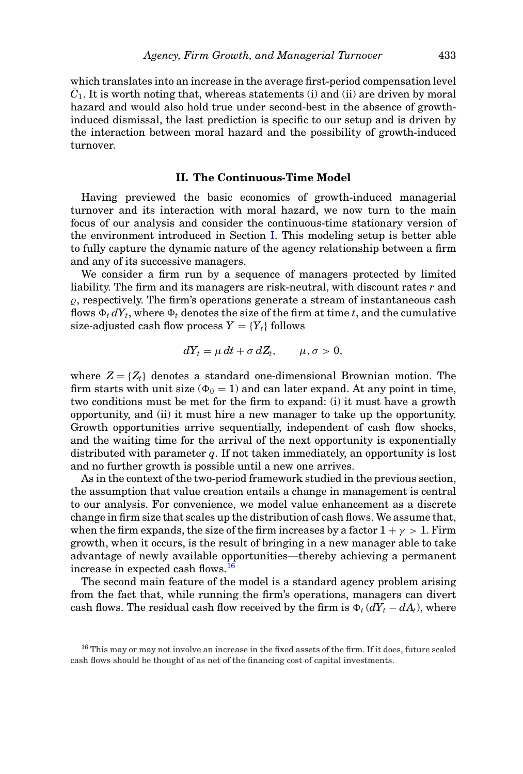which translates into an increase in the average first-period compensation level  $C_1$ . It is worth noting that, whereas statements (i) and (ii) are driven by moral hazard and would also hold true under second-best in the absence of growthinduced dismissal, the last prediction is specific to our setup and is driven by the interaction between moral hazard and the possibility of growth-induced turnover.

#### **II. The Continuous-Time Model**

Having previewed the basic economics of growth-induced managerial turnover and its interaction with moral hazard, we now turn to the main focus of our analysis and consider the continuous-time stationary version of the environment introduced in Section I. This modeling setup is better able to fully capture the dynamic nature of the agency relationship between a firm and any of its successive managers.

We consider a firm run by a sequence of managers protected by limited liability. The firm and its managers are risk-neutral, with discount rates *r* and  $\varrho$ , respectively. The firm's operations generate a stream of instantaneous cash flows  $\Phi_t dY_t$ , where  $\Phi_t$  denotes the size of the firm at time *t*, and the cumulative size-adjusted cash flow process  $Y = \{Y_t\}$  follows

$$
dY_t = \mu dt + \sigma dZ_t, \qquad \mu, \sigma > 0,
$$

where  $Z = \{Z_t\}$  denotes a standard one-dimensional Brownian motion. The firm starts with unit size ( $\Phi_0 = 1$ ) and can later expand. At any point in time, two conditions must be met for the firm to expand: (i) it must have a growth opportunity, and (ii) it must hire a new manager to take up the opportunity. Growth opportunities arrive sequentially, independent of cash flow shocks, and the waiting time for the arrival of the next opportunity is exponentially distributed with parameter *q*. If not taken immediately, an opportunity is lost and no further growth is possible until a new one arrives.

As in the context of the two-period framework studied in the previous section, the assumption that value creation entails a change in management is central to our analysis. For convenience, we model value enhancement as a discrete change in firm size that scales up the distribution of cash flows. We assume that, when the firm expands, the size of the firm increases by a factor  $1 + \gamma > 1$ . Firm growth, when it occurs, is the result of bringing in a new manager able to take advantage of newly available opportunities—thereby achieving a permanent increase in expected cash flows.<sup>16</sup>

The second main feature of the model is a standard agency problem arising from the fact that, while running the firm's operations, managers can divert cash flows. The residual cash flow received by the firm is  $\Phi_t (dY_t - dA_t)$ , where

<sup>&</sup>lt;sup>16</sup> This may or may not involve an increase in the fixed assets of the firm. If it does, future scaled cash flows should be thought of as net of the financing cost of capital investments.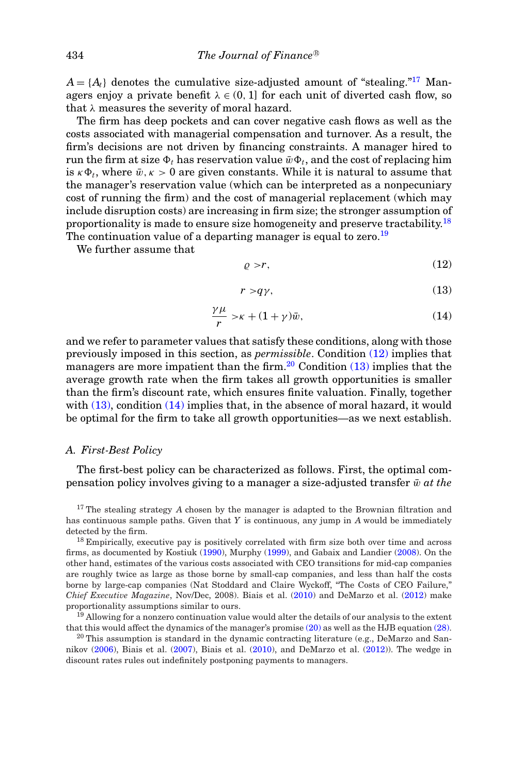$A = \{A_t\}$  denotes the cumulative size-adjusted amount of "stealing."<sup>17</sup> Managers enjoy a private benefit  $\lambda \in (0, 1]$  for each unit of diverted cash flow, so that  $\lambda$  measures the severity of moral hazard.

The firm has deep pockets and can cover negative cash flows as well as the costs associated with managerial compensation and turnover. As a result, the firm's decisions are not driven by financing constraints. A manager hired to run the firm at size  $\Phi_t$  has reservation value  $\bar{w}\Phi_t$ , and the cost of replacing him is  $\kappa \Phi_t$ , where  $\bar{w}, \kappa > 0$  are given constants. While it is natural to assume that the manager's reservation value (which can be interpreted as a nonpecuniary cost of running the firm) and the cost of managerial replacement (which may include disruption costs) are increasing in firm size; the stronger assumption of proportionality is made to ensure size homogeneity and preserve tractability.<sup>18</sup> The continuation value of a departing manager is equal to zero.<sup>19</sup>

We further assume that

$$
\varrho \gt r,\tag{12}
$$

$$
r > q\gamma, \tag{13}
$$

$$
\frac{\gamma\mu}{r} > \kappa + (1+\gamma)\bar{w},\tag{14}
$$

and we refer to parameter values that satisfy these conditions, along with those previously imposed in this section, as *permissible*. Condition (12) implies that managers are more impatient than the firm.<sup>20</sup> Condition  $(13)$  implies that the average growth rate when the firm takes all growth opportunities is smaller than the firm's discount rate, which ensures finite valuation. Finally, together with  $(13)$ , condition  $(14)$  implies that, in the absence of moral hazard, it would be optimal for the firm to take all growth opportunities—as we next establish.

# *A. First-Best Policy*

The first-best policy can be characterized as follows. First, the optimal compensation policy involves giving to a manager a size-adjusted transfer  $\bar{w}$  at the

<sup>18</sup> Empirically, executive pay is positively correlated with firm size both over time and across firms, as documented by Kostiuk (1990), Murphy (1999), and Gabaix and Landier (2008). On the other hand, estimates of the various costs associated with CEO transitions for mid-cap companies are roughly twice as large as those borne by small-cap companies, and less than half the costs borne by large-cap companies (Nat Stoddard and Claire Wyckoff, "The Costs of CEO Failure," *Chief Executive Magazine*, Nov/Dec, 2008). Biais et al. (2010) and DeMarzo et al. (2012) make proportionality assumptions similar to ours.

<sup>19</sup> Allowing for a nonzero continuation value would alter the details of our analysis to the extent that this would affect the dynamics of the manager's promise (20) as well as the HJB equation (28).

 $20$  This assumption is standard in the dynamic contracting literature (e.g., DeMarzo and Sannikov (2006), Biais et al. (2007), Biais et al. (2010), and DeMarzo et al. (2012)). The wedge in discount rates rules out indefinitely postponing payments to managers.

<sup>&</sup>lt;sup>17</sup> The stealing strategy *A* chosen by the manager is adapted to the Brownian filtration and has continuous sample paths. Given that *Y* is continuous, any jump in *A* would be immediately detected by the firm.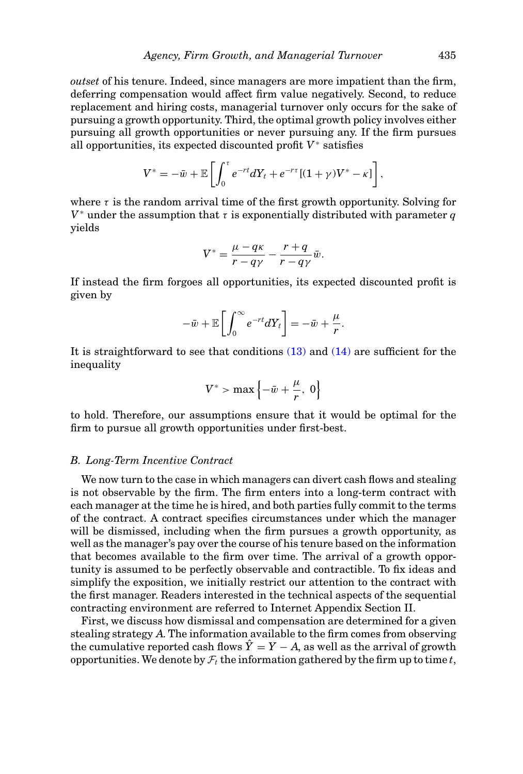*outset* of his tenure. Indeed, since managers are more impatient than the firm, deferring compensation would affect firm value negatively. Second, to reduce replacement and hiring costs, managerial turnover only occurs for the sake of pursuing a growth opportunity. Third, the optimal growth policy involves either pursuing all growth opportunities or never pursuing any. If the firm pursues all opportunities, its expected discounted profit  $V^*$  satisfies

$$
V^* = -\bar{w} + \mathbb{E}\left[\int_0^{\tau} e^{-rt} dY_t + e^{-r\tau}[(1+\gamma)V^* - \kappa]\right],
$$

where  $\tau$  is the random arrival time of the first growth opportunity. Solving for *V*<sup>\*</sup> under the assumption that  $\tau$  is exponentially distributed with parameter *q* yields

$$
V^* = \frac{\mu - q\kappa}{r - q\gamma} - \frac{r + q}{r - q\gamma}\bar{w}.
$$

If instead the firm forgoes all opportunities, its expected discounted profit is given by

$$
-\bar{w}+\mathbb{E}\left[\int_0^\infty e^{-rt}dY_t\right]=-\bar{w}+\frac{\mu}{r}.
$$

It is straightforward to see that conditions (13) and (14) are sufficient for the inequality

$$
V^*>\max\left\{-\bar{w}+\frac{\mu}{r},\,\,0\right\}
$$

to hold. Therefore, our assumptions ensure that it would be optimal for the firm to pursue all growth opportunities under first-best.

#### *B. Long-Term Incentive Contract*

We now turn to the case in which managers can divert cash flows and stealing is not observable by the firm. The firm enters into a long-term contract with each manager at the time he is hired, and both parties fully commit to the terms of the contract. A contract specifies circumstances under which the manager will be dismissed, including when the firm pursues a growth opportunity, as well as the manager's pay over the course of his tenure based on the information that becomes available to the firm over time. The arrival of a growth opportunity is assumed to be perfectly observable and contractible. To fix ideas and simplify the exposition, we initially restrict our attention to the contract with the first manager. Readers interested in the technical aspects of the sequential contracting environment are referred to Internet Appendix Section II.

First, we discuss how dismissal and compensation are determined for a given stealing strategy *A*. The information available to the firm comes from observing the cumulative reported cash flows  $\hat{Y} = Y - A$ , as well as the arrival of growth opportunities. We denote by  $\mathcal{F}_t$  the information gathered by the firm up to time  $t$ ,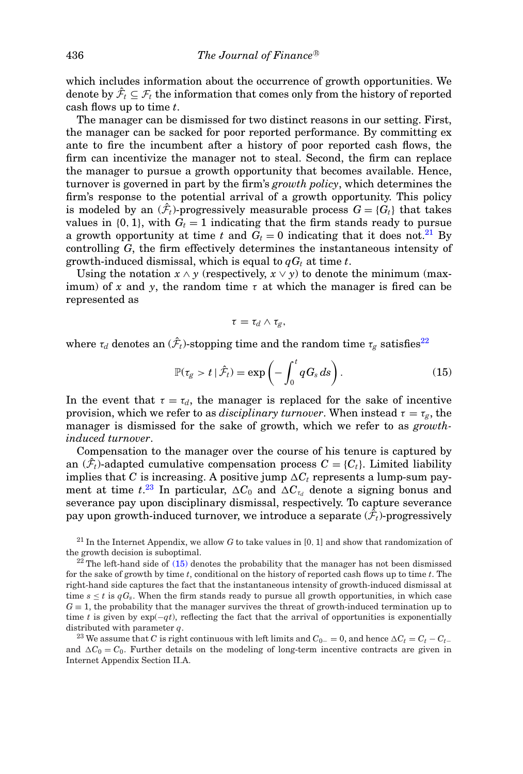which includes information about the occurrence of growth opportunities. We denote by  $\hat{\mathcal{F}}_t \subseteq \mathcal{F}_t$  the information that comes only from the history of reported cash flows up to time *t*.

The manager can be dismissed for two distinct reasons in our setting. First, the manager can be sacked for poor reported performance. By committing ex ante to fire the incumbent after a history of poor reported cash flows, the firm can incentivize the manager not to steal. Second, the firm can replace the manager to pursue a growth opportunity that becomes available. Hence, turnover is governed in part by the firm's *growth policy*, which determines the firm's response to the potential arrival of a growth opportunity. This policy is modeled by an  $(\hat{\mathcal{F}}_t)$ -progressively measurable process  $G = \{G_t\}$  that takes values in  $\{0, 1\}$ , with  $G_t = 1$  indicating that the firm stands ready to pursue a growth opportunity at time *t* and  $G_t = 0$  indicating that it does not.<sup>21</sup> By controlling *G*, the firm effectively determines the instantaneous intensity of growth-induced dismissal, which is equal to  $qG_t$  at time  $t$ .

Using the notation  $x \wedge y$  (respectively,  $x \vee y$ ) to denote the minimum (maximum) of x and y, the random time  $\tau$  at which the manager is fired can be represented as

$$
\tau=\tau_d\wedge\tau_g,
$$

where  $\tau_d$  denotes an  $(\hat{\mathcal{F}}_t)$ -stopping time and the random time  $\tau_g$  satisfies<sup>22</sup>

$$
\mathbb{P}(\tau_{g} > t \mid \hat{\mathcal{F}}_{t}) = \exp\left(-\int_{0}^{t} q G_{s} ds\right). \tag{15}
$$

In the event that  $\tau = \tau_d$ , the manager is replaced for the sake of incentive provision, which we refer to as *disciplinary turnover*. When instead  $\tau = \tau_g$ , the manager is dismissed for the sake of growth, which we refer to as *growthinduced turnover*.

Compensation to the manager over the course of his tenure is captured by an  $(\hat{\mathcal{F}}_t)$ -adapted cumulative compensation process  $C = \{C_t\}$ . Limited liability implies that  $C$  is increasing. A positive jump  $\Delta C_t$  represents a lump-sum payment at time  $t^{23}$  In particular,  $\Delta C_0$  and  $\Delta C_{\tau_d}$  denote a signing bonus and severance pay upon disciplinary dismissal, respectively. To capture severance pay upon growth-induced turnover, we introduce a separate  $(\tilde{\mathcal{F}}_t)$ -progressively

<sup>21</sup> In the Internet Appendix, we allow *G* to take values in [0, 1] and show that randomization of the growth decision is suboptimal.

 $22$  The left-hand side of  $(15)$  denotes the probability that the manager has not been dismissed for the sake of growth by time *t*, conditional on the history of reported cash flows up to time *t*. The right-hand side captures the fact that the instantaneous intensity of growth-induced dismissal at time  $s \leq t$  is  $qG_s$ . When the firm stands ready to pursue all growth opportunities, in which case  $G \equiv 1$ , the probability that the manager survives the threat of growth-induced termination up to time *t* is given by  $exp(-qt)$ , reflecting the fact that the arrival of opportunities is exponentially distributed with parameter *q*.

 $^{23}$  We assume that  $C$  is right continuous with left limits and  $C_{0-}=$  0, and hence  $\Delta C_t = C_t - C_{t-}$ and  $\Delta C_0 = C_0$ . Further details on the modeling of long-term incentive contracts are given in Internet Appendix Section II.A.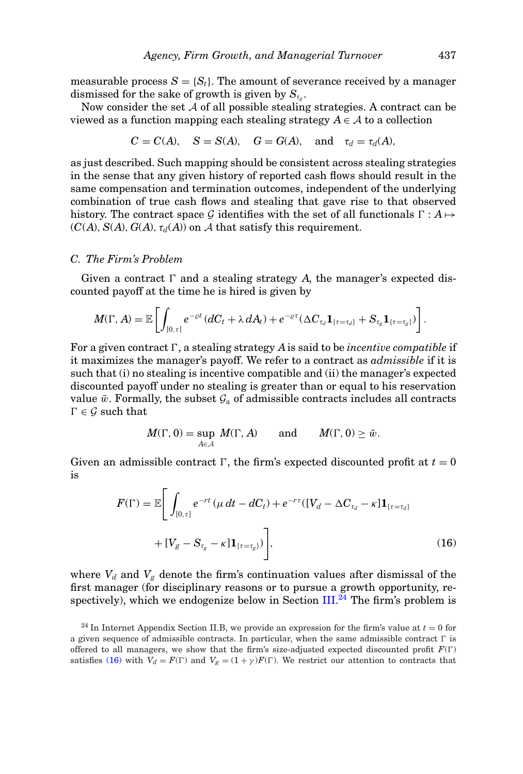measurable process  $S = \{S_t\}$ . The amount of severance received by a manager dismissed for the sake of growth is given by  $S_{\tau_q}$ .

Now consider the set *A* of all possible stealing strategies. A contract can be viewed as a function mapping each stealing strategy  $A \in \mathcal{A}$  to a collection

$$
C = C(A), \quad S = S(A), \quad G = G(A), \quad \text{and} \quad \tau_d = \tau_d(A),
$$

as just described. Such mapping should be consistent across stealing strategies in the sense that any given history of reported cash flows should result in the same compensation and termination outcomes, independent of the underlying combination of true cash flows and stealing that gave rise to that observed history. The contract space G identifies with the set of all functionals  $\Gamma : A \mapsto$  $(C(A), S(A), G(A), \tau_d(A))$  on *A* that satisfy this requirement.

#### *C. The Firm's Problem*

Given a contract  $\Gamma$  and a stealing strategy A, the manager's expected discounted payoff at the time he is hired is given by

$$
M(\Gamma, A)=\mathbb{E}\left[\int_{[0,\tau[}e^{-\varrho t}\left(dC_t+\lambda\,dA_t\right)+e^{-\varrho\tau}(\Delta C_{\tau_d}\mathbf{1}_{\{\tau=\tau_d\}}+S_{\tau_g}\mathbf{1}_{\{\tau=\tau_g\}})\right]
$$

For a given contract  $\Gamma$ , a stealing strategy A is said to be *incentive compatible* if it maximizes the manager's payoff. We refer to a contract as *admissible* if it is such that (i) no stealing is incentive compatible and (ii) the manager's expected discounted payoff under no stealing is greater than or equal to his reservation value  $\bar{w}$ . Formally, the subset  $\mathcal{G}_a$  of admissible contracts includes all contracts  $\Gamma \in \mathcal{G}$  such that

$$
M(\Gamma, 0) = \sup_{A \in \mathcal{A}} M(\Gamma, A)
$$
 and  $M(\Gamma, 0) \ge \bar{w}$ .

Given an admissible contract  $\Gamma$ , the firm's expected discounted profit at  $t = 0$ is

$$
F(\Gamma) = \mathbb{E}\Bigg[\int_{[0,\tau]} e^{-rt} \left(\mu \, dt - dC_t\right) + e^{-r\tau} \left([V_d - \Delta C_{\tau_d} - \kappa] \mathbf{1}_{\{\tau = \tau_d\}}\right) + [V_g - S_{\tau_g} - \kappa] \mathbf{1}_{\{\tau = \tau_g\}}\Bigg],\tag{16}
$$

where  $V_d$  and  $V_g$  denote the firm's continuation values after dismissal of the first manager (for disciplinary reasons or to pursue a growth opportunity, respectively), which we endogenize below in Section  $III.^{24}$  The firm's problem is

.

 $^{24}$  In Internet Appendix Section II.B, we provide an expression for the firm's value at  $t = 0$  for a given sequence of admissible contracts. In particular, when the same admissible contract  $\Gamma$  is offered to all managers, we show that the firm's size-adjusted expected discounted profit  $F(\Gamma)$ satisfies (16) with  $V_d = F(\Gamma)$  and  $V_g = (1 + \gamma)F(\Gamma)$ . We restrict our attention to contracts that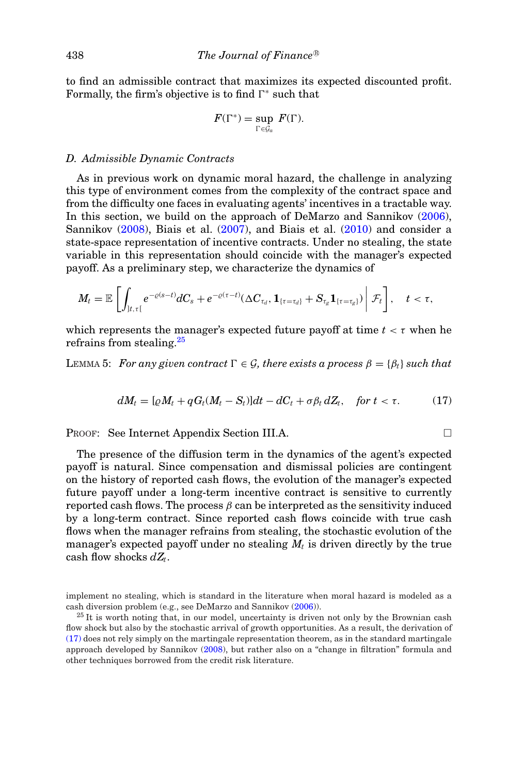to find an admissible contract that maximizes its expected discounted profit. Formally, the firm's objective is to find  $\Gamma^*$  such that

$$
F(\Gamma^*) = \sup_{\Gamma \in \mathcal{G}_a} F(\Gamma).
$$

#### *D. Admissible Dynamic Contracts*

As in previous work on dynamic moral hazard, the challenge in analyzing this type of environment comes from the complexity of the contract space and from the difficulty one faces in evaluating agents' incentives in a tractable way. In this section, we build on the approach of DeMarzo and Sannikov (2006), Sannikov (2008), Biais et al. (2007), and Biais et al. (2010) and consider a state-space representation of incentive contracts. Under no stealing, the state variable in this representation should coincide with the manager's expected payoff. As a preliminary step, we characterize the dynamics of

$$
M_t = \mathbb{E}\left[\int_{]t,\tau[}e^{-\varrho(s-t)}dC_s + e^{-\varrho(\tau-t)}(\Delta C_{\tau_d},\mathbf{1}_{\{\tau=\tau_d\}} + S_{\tau_g}\mathbf{1}_{\{\tau=\tau_g\}})\,\bigg|\;\mathcal{F}_t\right],\quad t<\tau,
$$

which represents the manager's expected future payoff at time  $t < \tau$  when he refrains from stealing.<sup>25</sup>

LEMMA 5: *For any given contract*  $\Gamma \in \mathcal{G}$ *, there exists a process*  $\beta = {\beta_t}$  *such that* 

$$
dM_t = [\varrho M_t + qG_t(M_t - S_t)]dt - dC_t + \sigma \beta_t dZ_t, \quad \text{for } t < \tau. \tag{17}
$$

PROOF: See Internet Appendix Section III.A.

The presence of the diffusion term in the dynamics of the agent's expected payoff is natural. Since compensation and dismissal policies are contingent on the history of reported cash flows, the evolution of the manager's expected future payoff under a long-term incentive contract is sensitive to currently reported cash flows. The process  $\beta$  can be interpreted as the sensitivity induced by a long-term contract. Since reported cash flows coincide with true cash flows when the manager refrains from stealing, the stochastic evolution of the manager's expected payoff under no stealing  $M_t$  is driven directly by the true cash flow shocks  $dZ_t$ .

implement no stealing, which is standard in the literature when moral hazard is modeled as a cash diversion problem (e.g., see DeMarzo and Sannikov (2006)).

 $25$  It is worth noting that, in our model, uncertainty is driven not only by the Brownian cash flow shock but also by the stochastic arrival of growth opportunities. As a result, the derivation of (17) does not rely simply on the martingale representation theorem, as in the standard martingale approach developed by Sannikov (2008), but rather also on a "change in filtration" formula and other techniques borrowed from the credit risk literature.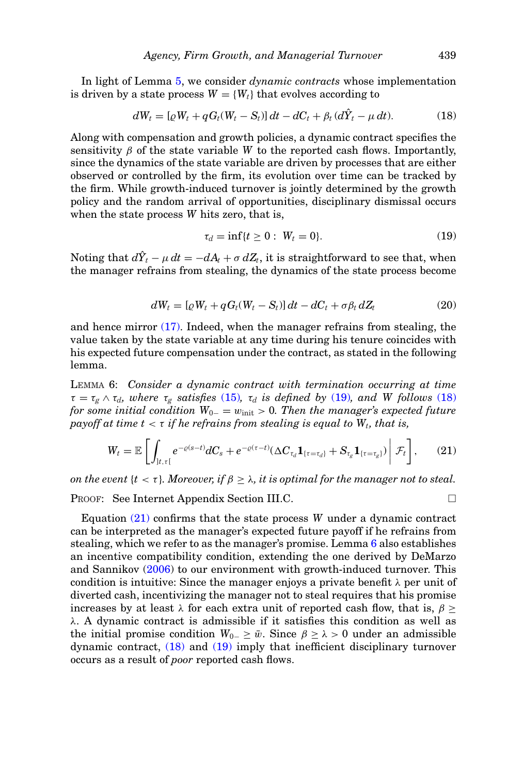In light of Lemma 5, we consider *dynamic contracts* whose implementation is driven by a state process  $W = \{W_t\}$  that evolves according to

$$
dW_t = [\varrho W_t + qG_t(W_t - S_t)] dt - dC_t + \beta_t (d\hat{Y}_t - \mu dt). \tag{18}
$$

Along with compensation and growth policies, a dynamic contract specifies the sensitivity  $\beta$  of the state variable *W* to the reported cash flows. Importantly, since the dynamics of the state variable are driven by processes that are either observed or controlled by the firm, its evolution over time can be tracked by the firm. While growth-induced turnover is jointly determined by the growth policy and the random arrival of opportunities, disciplinary dismissal occurs when the state process *W* hits zero, that is,

$$
\tau_d = \inf\{t \ge 0: \ W_t = 0\}.
$$
 (19)

Noting that  $d\hat{Y}_t - \mu dt = -dA_t + \sigma dZ_t$ , it is straightforward to see that, when the manager refrains from stealing, the dynamics of the state process become

$$
dW_t = [\varrho W_t + qG_t(W_t - S_t)] dt - dC_t + \sigma \beta_t dZ_t
$$
\n(20)

and hence mirror (17). Indeed, when the manager refrains from stealing, the value taken by the state variable at any time during his tenure coincides with his expected future compensation under the contract, as stated in the following lemma.

LEMMA 6: *Consider a dynamic contract with termination occurring at time*  $\tau = \tau_g \wedge \tau_d$ , where  $\tau_g$  satisfies (15),  $\tau_d$  is defined by (19), and W follows (18) *for some initial condition*  $W_{0-} = w_{init} > 0$ . Then the manager's expected future *payoff at time t*  $\lt$  *τ if he refrains from stealing is equal to W<sub>t</sub>, that is,* 

$$
W_t = \mathbb{E}\left[\int_{]t,\tau[}e^{-\varrho(s-t)}dC_s + e^{-\varrho(\tau-t)}(\Delta C_{\tau_d}\mathbf{1}_{\{\tau=\tau_d\}} + S_{\tau_g}\mathbf{1}_{\{\tau=\tau_g\}})\,\bigg|\,\mathcal{F}_t\right],\qquad(21)
$$

*on the event*  $\{t < \tau\}$ *. Moreover, if*  $\beta \geq \lambda$ *, it is optimal for the manager not to steal.* PROOF: See Internet Appendix Section III.C.

Equation (21) confirms that the state process *W* under a dynamic contract can be interpreted as the manager's expected future payoff if he refrains from stealing, which we refer to as the manager's promise. Lemma 6 also establishes an incentive compatibility condition, extending the one derived by DeMarzo and Sannikov (2006) to our environment with growth-induced turnover. This condition is intuitive: Since the manager enjoys a private benefit  $\lambda$  per unit of diverted cash, incentivizing the manager not to steal requires that his promise increases by at least  $\lambda$  for each extra unit of reported cash flow, that is,  $\beta \geq$  $\lambda$ . A dynamic contract is admissible if it satisfies this condition as well as the initial promise condition  $W_{0-}$  ≥  $\bar{w}$ . Since  $\beta$  ≥  $\lambda$  > 0 under an admissible dynamic contract, (18) and (19) imply that inefficient disciplinary turnover occurs as a result of *poor* reported cash flows.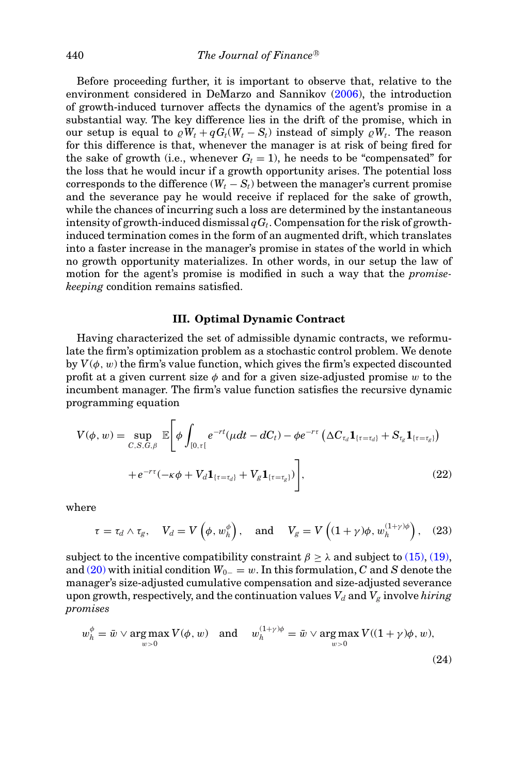Before proceeding further, it is important to observe that, relative to the environment considered in DeMarzo and Sannikov (2006), the introduction of growth-induced turnover affects the dynamics of the agent's promise in a substantial way. The key difference lies in the drift of the promise, which in our setup is equal to  $\varrho W_t + qG_t(W_t - S_t)$  instead of simply  $\varrho W_t$ . The reason for this difference is that, whenever the manager is at risk of being fired for the sake of growth (i.e., whenever  $G_t = 1$ ), he needs to be "compensated" for the loss that he would incur if a growth opportunity arises. The potential loss corresponds to the difference  $(W_t - S_t)$  between the manager's current promise and the severance pay he would receive if replaced for the sake of growth, while the chances of incurring such a loss are determined by the instantaneous intensity of growth-induced dismissal  $qG_t$ . Compensation for the risk of growthinduced termination comes in the form of an augmented drift, which translates into a faster increase in the manager's promise in states of the world in which no growth opportunity materializes. In other words, in our setup the law of motion for the agent's promise is modified in such a way that the *promisekeeping* condition remains satisfied.

#### **III. Optimal Dynamic Contract**

Having characterized the set of admissible dynamic contracts, we reformulate the firm's optimization problem as a stochastic control problem. We denote by  $V(\phi, w)$  the firm's value function, which gives the firm's expected discounted profit at a given current size  $\phi$  and for a given size-adjusted promise w to the incumbent manager. The firm's value function satisfies the recursive dynamic programming equation

$$
V(\phi, w) = \sup_{C, S, G, \beta} \mathbb{E}\bigg[\phi \int_{[0,\tau[} e^{-rt}(\mu dt - dC_t) - \phi e^{-r\tau} \left(\Delta C_{\tau_d} \mathbf{1}_{\{\tau = \tau_d\}} + S_{\tau_g} \mathbf{1}_{\{\tau = \tau_g\}}\right) + e^{-r\tau}(-\kappa \phi + V_d \mathbf{1}_{\{\tau = \tau_d\}} + V_g \mathbf{1}_{\{\tau = \tau_g\}})\bigg],
$$
\n(22)

where

$$
\tau = \tau_d \wedge \tau_g, \quad V_d = V\left(\phi, w_h^{\phi}\right), \quad \text{and} \quad V_g = V\left((1+\gamma)\phi, w_h^{(1+\gamma)\phi}\right), \quad (23)
$$

subject to the incentive compatibility constraint  $\beta \geq \lambda$  and subject to (15), (19), and (20) with initial condition  $W_{0-} = w$ . In this formulation, *C* and *S* denote the manager's size-adjusted cumulative compensation and size-adjusted severance upon growth, respectively, and the continuation values  $V_d$  and  $V_g$  involve *hiring promises*

$$
w_h^{\phi} = \bar{w} \lor \underset{w>0}{\text{arg}\max} V(\phi, w) \quad \text{and} \quad w_h^{(1+\gamma)\phi} = \bar{w} \lor \underset{w>0}{\text{arg}\max} V((1+\gamma)\phi, w),\tag{24}
$$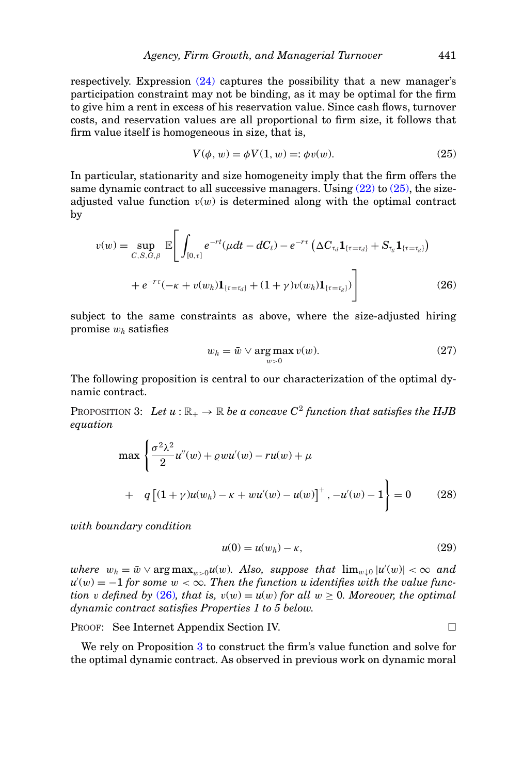respectively. Expression (24) captures the possibility that a new manager's participation constraint may not be binding, as it may be optimal for the firm to give him a rent in excess of his reservation value. Since cash flows, turnover costs, and reservation values are all proportional to firm size, it follows that firm value itself is homogeneous in size, that is,

$$
V(\phi, w) = \phi V(1, w) =: \phi v(w). \tag{25}
$$

In particular, stationarity and size homogeneity imply that the firm offers the same dynamic contract to all successive managers. Using (22) to (25), the sizeadjusted value function  $v(w)$  is determined along with the optimal contract by

$$
v(w) = \sup_{C, S, G, \beta} \mathbb{E} \Bigg[ \int_{[0, \tau]} e^{-rt} (\mu dt - dC_t) - e^{-r\tau} \left( \Delta C_{\tau_d} \mathbf{1}_{\{\tau = \tau_d\}} + S_{\tau_g} \mathbf{1}_{\{\tau = \tau_g\}} \right) + e^{-r\tau} (-\kappa + v(w_h) \mathbf{1}_{\{\tau = \tau_d\}} + (1 + \gamma) v(w_h) \mathbf{1}_{\{\tau = \tau_g\}}) \Bigg]
$$
(26)

subject to the same constraints as above, where the size-adjusted hiring promise w*<sup>h</sup>* satisfies

$$
w_h = \bar{w} \vee \underset{w>0}{\text{arg max}} \, v(w). \tag{27}
$$

The following proposition is central to our characterization of the optimal dynamic contract.

PROPOSITION 3: Let  $u : \mathbb{R}_+ \to \mathbb{R}$  be a concave  $C^2$  function that satisfies the HJB *equation*

$$
\max \left\{ \frac{\sigma^2 \lambda^2}{2} u''(w) + \varrho w u'(w) - r u(w) + \mu
$$
  
+  $q \left[ (1 + \gamma) u(w_h) - \kappa + w u'(w) - u(w) \right]^+, -u'(w) - 1 \right\} = 0$  (28)

*with boundary condition*

$$
u(0) = u(w_h) - \kappa,\tag{29}
$$

 $where \ w_h = \bar{w} \vee \arg \max_{w>0} u(w)$ . Also, suppose that  $\lim_{w \downarrow 0} |u'(w)| < \infty$  and  $u'(w) = -1$  for some  $w < \infty$ . Then the function *u* identifies with the value func*tion* v *defined by* (26)*, that is,*  $v(w) = u(w)$  *for all*  $w \ge 0$ *. Moreover, the optimal dynamic contract satisfies Properties 1 to 5 below.*

PROOF: See Internet Appendix Section IV.

We rely on Proposition 3 to construct the firm's value function and solve for the optimal dynamic contract. As observed in previous work on dynamic moral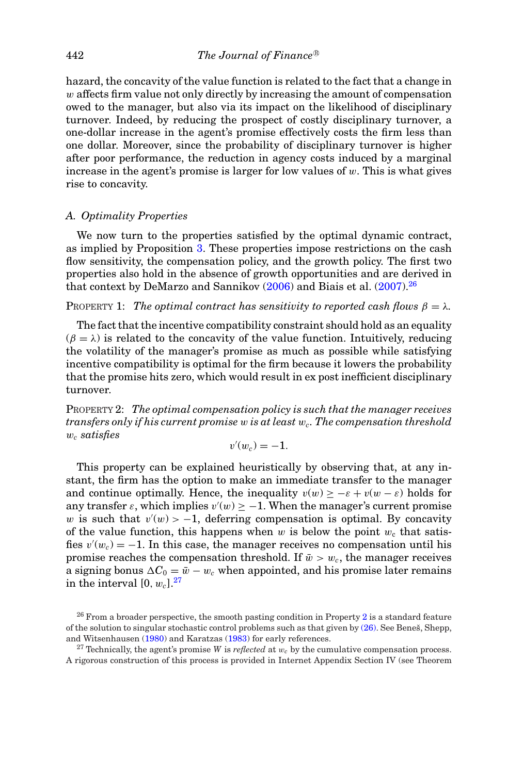hazard, the concavity of the value function is related to the fact that a change in w affects firm value not only directly by increasing the amount of compensation owed to the manager, but also via its impact on the likelihood of disciplinary turnover. Indeed, by reducing the prospect of costly disciplinary turnover, a one-dollar increase in the agent's promise effectively costs the firm less than one dollar. Moreover, since the probability of disciplinary turnover is higher after poor performance, the reduction in agency costs induced by a marginal increase in the agent's promise is larger for low values of  $w$ . This is what gives rise to concavity.

#### *A. Optimality Properties*

We now turn to the properties satisfied by the optimal dynamic contract, as implied by Proposition 3. These properties impose restrictions on the cash flow sensitivity, the compensation policy, and the growth policy. The first two properties also hold in the absence of growth opportunities and are derived in that context by DeMarzo and Sannikov  $(2006)$  and Biais et al.  $(2007).^{26}$ 

PROPERTY 1: *The optimal contract has sensitivity to reported cash flows*  $\beta = \lambda$ .

The fact that the incentive compatibility constraint should hold as an equality  $(\beta = \lambda)$  is related to the concavity of the value function. Intuitively, reducing the volatility of the manager's promise as much as possible while satisfying incentive compatibility is optimal for the firm because it lowers the probability that the promise hits zero, which would result in ex post inefficient disciplinary turnover.

PROPERTY 2: *The optimal compensation policy is such that the manager receives transfers only if his current promise* w *is at least* w*c. The compensation threshold* w*<sup>c</sup> satisfies*

$$
v'(w_c)=-1.
$$

This property can be explained heuristically by observing that, at any instant, the firm has the option to make an immediate transfer to the manager and continue optimally. Hence, the inequality  $v(w) \geq -\varepsilon + v(w - \varepsilon)$  holds for any transfer  $\varepsilon$ , which implies  $v'(w) \geq -1$ . When the manager's current promise w is such that  $v'(w) > -1$ , deferring compensation is optimal. By concavity of the value function, this happens when w is below the point  $w_c$  that satisfies  $v'(w_c) = -1$ . In this case, the manager receives no compensation until his promise reaches the compensation threshold. If  $\bar{w} > w_c$ , the manager receives a signing bonus  $\Delta C_0 = \bar{w} - w_c$  when appointed, and his promise later remains in the interval  $[0, w_c]$ .<sup>27</sup>

 $26$  From a broader perspective, the smooth pasting condition in Property 2 is a standard feature of the solution to singular stochastic control problems such as that given by  $(26)$ . See Benes, Shepp, and Witsenhausen (1980) and Karatzas (1983) for early references.

 $^{27}$  Technically, the agent's promise *W* is *reflected* at  $w_c$  by the cumulative compensation process. A rigorous construction of this process is provided in Internet Appendix Section IV (see Theorem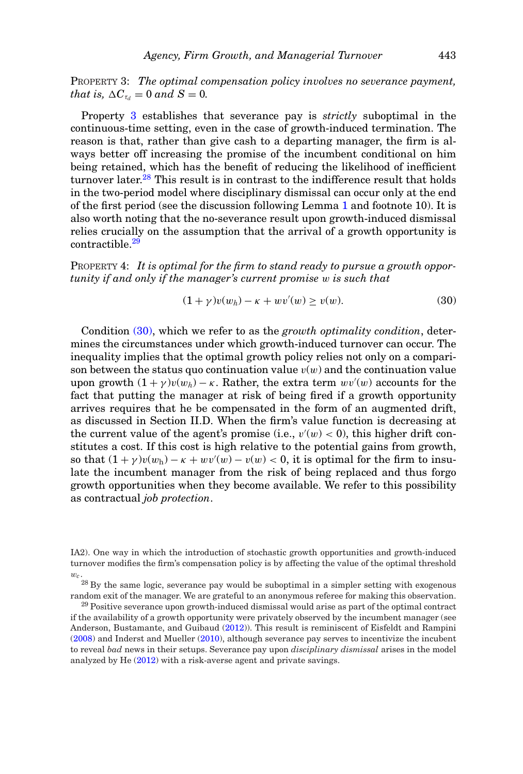PROPERTY 3: *The optimal compensation policy involves no severance payment, that is,*  $\Delta C_{\tau_d} = 0$  *and*  $S = 0$ *.* 

Property 3 establishes that severance pay is *strictly* suboptimal in the continuous-time setting, even in the case of growth-induced termination. The reason is that, rather than give cash to a departing manager, the firm is always better off increasing the promise of the incumbent conditional on him being retained, which has the benefit of reducing the likelihood of inefficient turnover later.<sup>28</sup> This result is in contrast to the indifference result that holds in the two-period model where disciplinary dismissal can occur only at the end of the first period (see the discussion following Lemma 1 and footnote 10). It is also worth noting that the no-severance result upon growth-induced dismissal relies crucially on the assumption that the arrival of a growth opportunity is contractible.<sup>29</sup>

PROPERTY 4: *It is optimal for the firm to stand ready to pursue a growth opportunity if and only if the manager's current promise* w *is such that*

$$
(1+\gamma)v(w_h) - \kappa + wv'(w) \ge v(w). \tag{30}
$$

Condition (30), which we refer to as the *growth optimality condition*, determines the circumstances under which growth-induced turnover can occur. The inequality implies that the optimal growth policy relies not only on a comparison between the status quo continuation value  $v(w)$  and the continuation value upon growth  $(1 + \gamma)v(w_h) - \kappa$ . Rather, the extra term  $wv'(w)$  accounts for the fact that putting the manager at risk of being fired if a growth opportunity arrives requires that he be compensated in the form of an augmented drift, as discussed in Section II.D. When the firm's value function is decreasing at the current value of the agent's promise (i.e.,  $v'(w) < 0$ ), this higher drift constitutes a cost. If this cost is high relative to the potential gains from growth, so that  $(1 + \gamma)v(w_h) - \kappa + wv'(w) - v(w) < 0$ , it is optimal for the firm to insulate the incumbent manager from the risk of being replaced and thus forgo growth opportunities when they become available. We refer to this possibility as contractual *job protection*.

IA2). One way in which the introduction of stochastic growth opportunities and growth-induced turnover modifies the firm's compensation policy is by affecting the value of the optimal threshold w*c*.

<sup>28</sup> By the same logic, severance pay would be suboptimal in a simpler setting with exogenous random exit of the manager. We are grateful to an anonymous referee for making this observation.

 $29$  Positive severance upon growth-induced dismissal would arise as part of the optimal contract if the availability of a growth opportunity were privately observed by the incumbent manager (see Anderson, Bustamante, and Guibaud (2012)). This result is reminiscent of Eisfeldt and Rampini (2008) and Inderst and Mueller (2010), although severance pay serves to incentivize the incubent to reveal *bad* news in their setups. Severance pay upon *disciplinary dismissal* arises in the model analyzed by He (2012) with a risk-averse agent and private savings.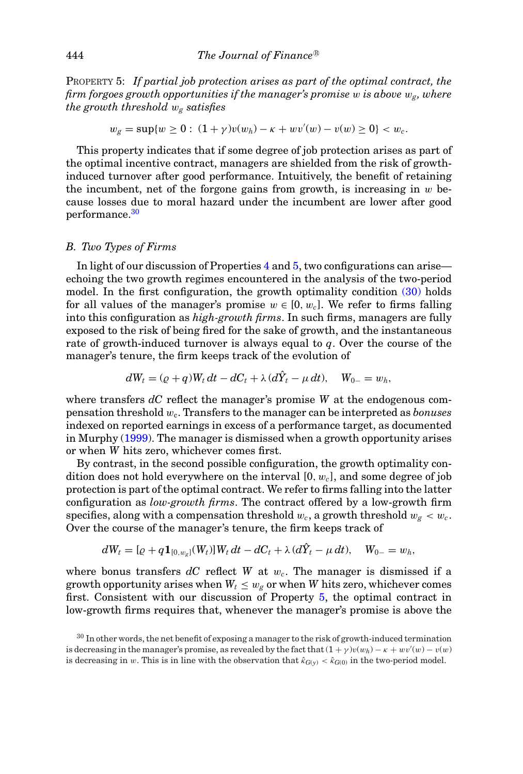PROPERTY 5: *If partial job protection arises as part of the optimal contract, the firm forgoes growth opportunities if the manager's promise* w *is above* w*g, where the growth threshold* w*<sup>g</sup> satisfies*

$$
w_g = \sup\{w \ge 0: \ (1 + \gamma)v(w_h) - \kappa + wv'(w) - v(w) \ge 0\} < w_c.
$$

This property indicates that if some degree of job protection arises as part of the optimal incentive contract, managers are shielded from the risk of growthinduced turnover after good performance. Intuitively, the benefit of retaining the incumbent, net of the forgone gains from growth, is increasing in  $w$  because losses due to moral hazard under the incumbent are lower after good performance.30

#### *B. Two Types of Firms*

In light of our discussion of Properties 4 and 5, two configurations can arise echoing the two growth regimes encountered in the analysis of the two-period model. In the first configuration, the growth optimality condition (30) holds for all values of the manager's promise  $w \in [0, w_c]$ . We refer to firms falling into this configuration as *high-growth firms*. In such firms, managers are fully exposed to the risk of being fired for the sake of growth, and the instantaneous rate of growth-induced turnover is always equal to *q*. Over the course of the manager's tenure, the firm keeps track of the evolution of

$$
dW_t = (\varrho + q)W_t dt - dC_t + \lambda (d\hat{Y}_t - \mu dt), \quad W_{0-} = w_h,
$$

where transfers *dC* reflect the manager's promise *W* at the endogenous compensation threshold wc. Transfers to the manager can be interpreted as *bonuses* indexed on reported earnings in excess of a performance target, as documented in Murphy (1999). The manager is dismissed when a growth opportunity arises or when *W* hits zero, whichever comes first.

By contrast, in the second possible configuration, the growth optimality condition does not hold everywhere on the interval [0, w*c*], and some degree of job protection is part of the optimal contract. We refer to firms falling into the latter configuration as *low-growth firms*. The contract offered by a low-growth firm specifies, along with a compensation threshold  $w_c$ , a growth threshold  $w_g < w_c$ . Over the course of the manager's tenure, the firm keeps track of

$$
dW_t = [\varrho + q \mathbf{1}_{[0,w_s]}(W_t)] W_t dt - dC_t + \lambda (d\hat{Y}_t - \mu dt), \quad W_{0-} = w_h,
$$

where bonus transfers  $dC$  reflect  $W$  at  $w_c$ . The manager is dismissed if a growth opportunity arises when  $W_t \leq w_g$  or when *W* hits zero, whichever comes first. Consistent with our discussion of Property 5, the optimal contract in low-growth firms requires that, whenever the manager's promise is above the

 $30$  In other words, the net benefit of exposing a manager to the risk of growth-induced termination is decreasing in the manager's promise, as revealed by the fact that  $(1 + \gamma)v(w_h) - \kappa + wv'(w) - v(w)$ is decreasing in w. This is in line with the observation that  $\hat{\kappa}_{G(y)} < \hat{\kappa}_{G(0)}$  in the two-period model.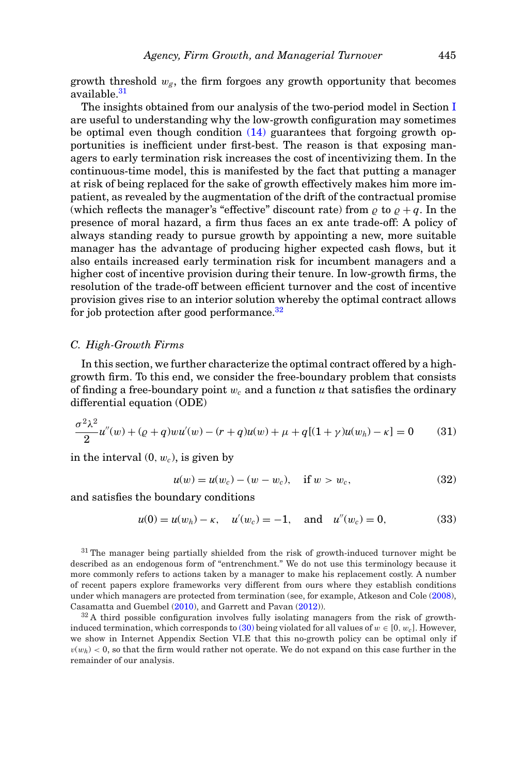growth threshold  $w_g$ , the firm forgoes any growth opportunity that becomes available.<sup>31</sup>

The insights obtained from our analysis of the two-period model in Section I are useful to understanding why the low-growth configuration may sometimes be optimal even though condition (14) guarantees that forgoing growth opportunities is inefficient under first-best. The reason is that exposing managers to early termination risk increases the cost of incentivizing them. In the continuous-time model, this is manifested by the fact that putting a manager at risk of being replaced for the sake of growth effectively makes him more impatient, as revealed by the augmentation of the drift of the contractual promise (which reflects the manager's "effective" discount rate) from  $\rho$  to  $\rho + q$ . In the presence of moral hazard, a firm thus faces an ex ante trade-off: A policy of always standing ready to pursue growth by appointing a new, more suitable manager has the advantage of producing higher expected cash flows, but it also entails increased early termination risk for incumbent managers and a higher cost of incentive provision during their tenure. In low-growth firms, the resolution of the trade-off between efficient turnover and the cost of incentive provision gives rise to an interior solution whereby the optimal contract allows for job protection after good performance.32

# *C. High-Growth Firms*

In this section, we further characterize the optimal contract offered by a highgrowth firm. To this end, we consider the free-boundary problem that consists of finding a free-boundary point  $w_c$  and a function  $u$  that satisfies the ordinary differential equation (ODE)

$$
\frac{\sigma^2 \lambda^2}{2} u''(w) + (\rho + q) w u'(w) - (r + q) u(w) + \mu + q [(1 + \gamma) u(w_h) - \kappa] = 0 \quad (31)
$$

in the interval (0, w*c*), is given by

$$
u(w) = u(w_c) - (w - w_c), \quad \text{if } w > w_c,
$$
 (32)

and satisfies the boundary conditions

$$
u(0) = u(w_h) - \kappa
$$
,  $u'(w_c) = -1$ , and  $u''(w_c) = 0$ , (33)

<sup>31</sup> The manager being partially shielded from the risk of growth-induced turnover might be described as an endogenous form of "entrenchment." We do not use this terminology because it more commonly refers to actions taken by a manager to make his replacement costly. A number of recent papers explore frameworks very different from ours where they establish conditions under which managers are protected from termination (see, for example, Atkeson and Cole (2008), Casamatta and Guembel (2010), and Garrett and Pavan (2012)).

 $32$  A third possible configuration involves fully isolating managers from the risk of growthinduced termination, which corresponds to (30) being violated for all values of  $w \in [0, w_c]$ . However, we show in Internet Appendix Section VI.E that this no-growth policy can be optimal only if  $v(w_h) < 0$ , so that the firm would rather not operate. We do not expand on this case further in the remainder of our analysis.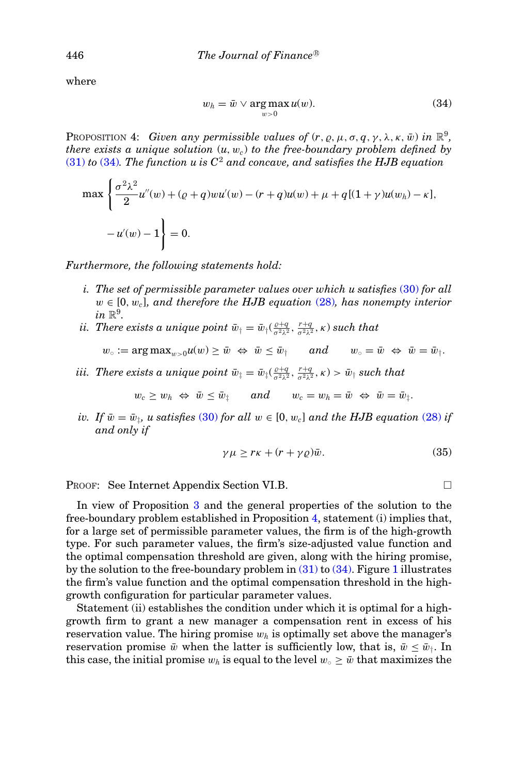where

$$
w_h = \bar{w} \vee \underset{w>0}{\arg \max} u(w). \tag{34}
$$

PROPOSITION 4: *Given any permissible values of*  $(r, \varrho, \mu, \sigma, q, \gamma, \lambda, \kappa, \bar{w})$  *in*  $\mathbb{R}^9$ , *there exists a unique solution* (*u*, w*c*) *to the free-boundary problem defined by*  $(31)$  *to*  $(34)$ *. The function u is*  $C^2$  *and concave, and satisfies the HJB equation* 

$$
\max\left\{\frac{\sigma^2\lambda^2}{2}u''(w) + (\varrho + q)wu'(w) - (r + q)u(w) + \mu + q[(1 + \gamma)u(w_h) - \kappa], -u'(w) - 1\right\} = 0.
$$

*Furthermore, the following statements hold:*

- *i. The set of permissible parameter values over which u satisfies* (30) *for all* w ∈ [0, w*c*]*, and therefore the HJB equation* (28)*, has nonempty interior*  $in \mathbb{R}^9$ .
- *ii. There exists a unique point*  $\bar{w}_{\dagger} = \bar{w}_{\dagger}(\frac{\varrho+q}{\sigma^2\lambda^2},\frac{r+q}{\sigma^2\lambda^2},\kappa)$  *such that*

$$
w_{\circ} := \arg \max_{w > 0} u(w) \ge \bar{w} \iff \bar{w} \le \bar{w}_{\dagger} \quad \text{and} \quad w_{\circ} = \bar{w} \iff \bar{w} = \bar{w}_{\dagger}.
$$

*iii. There exists a unique point*  $\bar{w}_{\ddagger} = \bar{w}_{\ddagger}(\frac{\varrho+q}{\sigma^2\lambda^2},\frac{r+q}{\sigma^2\lambda^2},\kappa) > \bar{w}_{\dagger}$  such that

$$
w_c \geq w_h \Leftrightarrow \bar{w} \leq \bar{w}_{\ddagger}
$$
 and  $w_c = w_h = \bar{w} \Leftrightarrow \bar{w} = \bar{w}_{\ddagger}$ .

*iv.* If  $\bar{w} = \bar{w}_1$ , u satisfies (30) for all  $w \in [0, w_c]$  and the HJB equation (28) if *and only if*

$$
\gamma \mu \ge r\kappa + (r + \gamma \varrho)\bar{w}.\tag{35}
$$

PROOF: See Internet Appendix Section VI.B.

In view of Proposition 3 and the general properties of the solution to the free-boundary problem established in Proposition 4, statement (i) implies that, for a large set of permissible parameter values, the firm is of the high-growth type. For such parameter values, the firm's size-adjusted value function and the optimal compensation threshold are given, along with the hiring promise, by the solution to the free-boundary problem in  $(31)$  to  $(34)$ . Figure 1 illustrates the firm's value function and the optimal compensation threshold in the highgrowth configuration for particular parameter values.

Statement (ii) establishes the condition under which it is optimal for a highgrowth firm to grant a new manager a compensation rent in excess of his reservation value. The hiring promise  $w<sub>h</sub>$  is optimally set above the manager's reservation promise  $\bar{w}$  when the latter is sufficiently low, that is,  $\bar{w} \leq \bar{w}_{\dagger}$ . In this case, the initial promise  $w_h$  is equal to the level  $w_\circ \geq \bar{w}$  that maximizes the

 $\Box$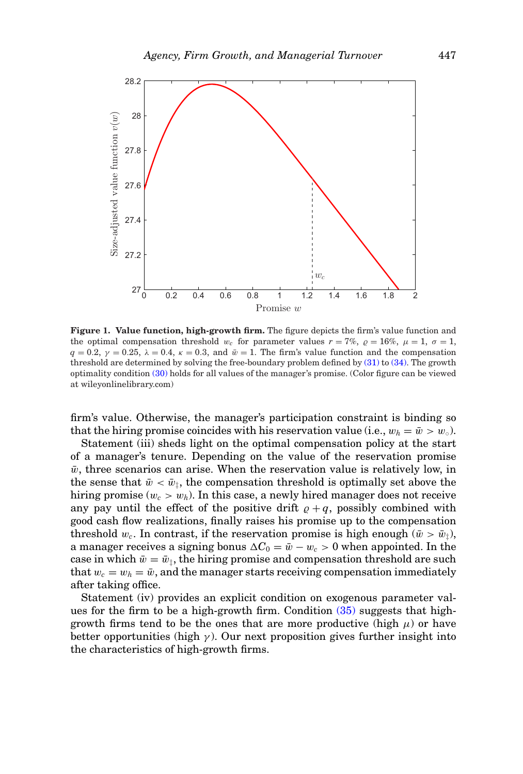

**Figure 1. Value function, high-growth firm.** The figure depicts the firm's value function and the optimal compensation threshold  $w_c$  for parameter values  $r = 7\%$ ,  $\rho = 16\%$ ,  $\mu = 1$ ,  $\sigma = 1$ ,  $q = 0.2$ ,  $\gamma = 0.25$ ,  $\lambda = 0.4$ ,  $\kappa = 0.3$ , and  $\bar{w} = 1$ . The firm's value function and the compensation threshold are determined by solving the free-boundary problem defined by (31) to (34). The growth optimality condition (30) holds for all values of the manager's promise. (Color figure can be viewed at wileyonlinelibrary.com)

firm's value. Otherwise, the manager's participation constraint is binding so that the hiring promise coincides with his reservation value (i.e.,  $w_h = \bar{w} > w_{\circ}$ ).

Statement (iii) sheds light on the optimal compensation policy at the start of a manager's tenure. Depending on the value of the reservation promise  $\bar{w}$ , three scenarios can arise. When the reservation value is relatively low, in the sense that  $\bar{w} < \bar{w}_1$ , the compensation threshold is optimally set above the hiring promise  $(w_c > w_h)$ . In this case, a newly hired manager does not receive any pay until the effect of the positive drift  $\rho + q$ , possibly combined with good cash flow realizations, finally raises his promise up to the compensation threshold w<sub>c</sub>. In contrast, if the reservation promise is high enough  $(\bar{w} > \bar{w}_\dagger)$ , a manager receives a signing bonus  $\Delta C_0 = \bar{w} - w_c > 0$  when appointed. In the case in which  $\bar{w} = \bar{w}_1$ , the hiring promise and compensation threshold are such that  $w_c = w_h = \bar{w}$ , and the manager starts receiving compensation immediately after taking office.

Statement (iv) provides an explicit condition on exogenous parameter values for the firm to be a high-growth firm. Condition (35) suggests that highgrowth firms tend to be the ones that are more productive (high  $\mu$ ) or have better opportunities (high  $\gamma$ ). Our next proposition gives further insight into the characteristics of high-growth firms.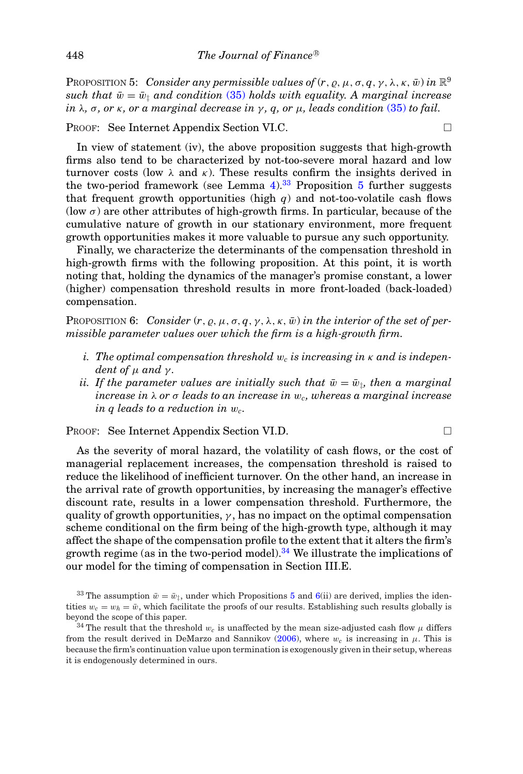${\rm Pro}$ PROPOSITION  $5$ :  $\emph{Consider any permissible values of $(r,\varrho,\mu,\sigma,q,\gamma,\lambda,\kappa,\bar{w})$ in $\mathbb{R}^9$}$ *such that*  $\bar{w} = \bar{w}_1$  *and condition* (35) *holds with equality. A marginal increase in*  $\lambda$ ,  $\sigma$ ,  $\sigma$ r  $\kappa$ ,  $\sigma$ r a marginal decrease in  $\gamma$ ,  $q$ ,  $\sigma$ r  $\mu$ , leads condition (35) to fail.

PROOF: See Internet Appendix Section VI.C.

In view of statement (iv), the above proposition suggests that high-growth firms also tend to be characterized by not-too-severe moral hazard and low turnover costs (low  $\lambda$  and  $\kappa$ ). These results confirm the insights derived in the two-period framework (see Lemma  $4$ ).<sup>33</sup> Proposition 5 further suggests that frequent growth opportunities (high  $q$ ) and not-too-volatile cash flows (low  $\sigma$ ) are other attributes of high-growth firms. In particular, because of the cumulative nature of growth in our stationary environment, more frequent growth opportunities makes it more valuable to pursue any such opportunity.

Finally, we characterize the determinants of the compensation threshold in high-growth firms with the following proposition. At this point, it is worth noting that, holding the dynamics of the manager's promise constant, a lower (higher) compensation threshold results in more front-loaded (back-loaded) compensation.

**PROPOSITION 6:** Consider  $(r, \varrho, \mu, \sigma, q, \gamma, \lambda, \kappa, \bar{w})$  in the interior of the set of per*missible parameter values over which the firm is a high-growth firm.*

- *i. The optimal compensation threshold* w*<sup>c</sup> is increasing in* κ *and is independent of*  $\mu$  *and*  $\gamma$ *.*
- *ii. If the parameter values are initially such that*  $\bar{w} = \bar{w}_1$ *, then a marginal increase in* λ *or* σ *leads to an increase in* w*c, whereas a marginal increase in q leads to a reduction in* w*c.*

PROOF: See Internet Appendix Section VI.D.

As the severity of moral hazard, the volatility of cash flows, or the cost of managerial replacement increases, the compensation threshold is raised to reduce the likelihood of inefficient turnover. On the other hand, an increase in the arrival rate of growth opportunities, by increasing the manager's effective discount rate, results in a lower compensation threshold. Furthermore, the quality of growth opportunities,  $\gamma$ , has no impact on the optimal compensation scheme conditional on the firm being of the high-growth type, although it may affect the shape of the compensation profile to the extent that it alters the firm's growth regime (as in the two-period model).<sup>34</sup> We illustrate the implications of our model for the timing of compensation in Section III.E.

<sup>33</sup> The assumption  $\bar{w} = \bar{w}_1$ , under which Propositions 5 and 6(ii) are derived, implies the identities  $w_c = w_h = \bar{w}$ , which facilitate the proofs of our results. Establishing such results globally is beyond the scope of this paper.

 $^{34}$  The result that the threshold  $w_c$  is unaffected by the mean size-adjusted cash flow  $\mu$  differs from the result derived in DeMarzo and Sannikov (2006), where  $w_c$  is increasing in  $\mu$ . This is because the firm's continuation value upon termination is exogenously given in their setup, whereas it is endogenously determined in ours.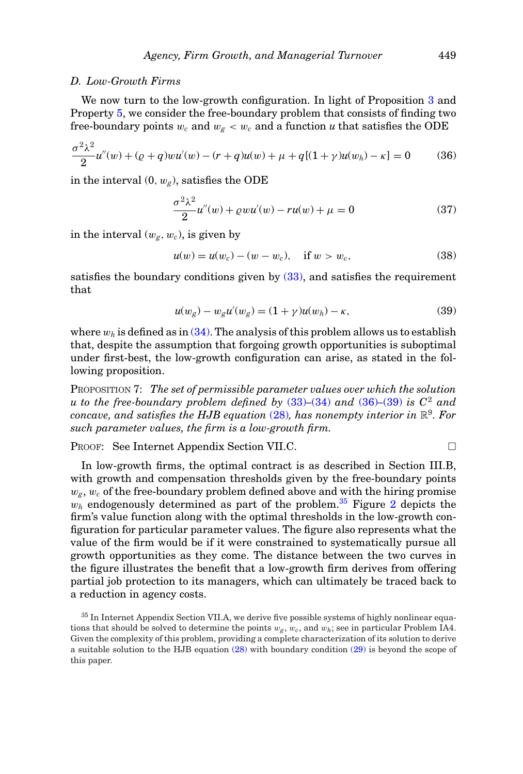#### *D. Low-Growth Firms*

We now turn to the low-growth configuration. In light of Proposition 3 and Property 5, we consider the free-boundary problem that consists of finding two free-boundary points  $w_c$  and  $w_g < w_c$  and a function  $u$  that satisfies the ODE

$$
\frac{\sigma^2 \lambda^2}{2} u''(w) + (\rho + q) w u'(w) - (r + q) u(w) + \mu + q [(1 + \gamma) u(w_h) - \kappa] = 0 \tag{36}
$$

in the interval  $(0, w_g)$ , satisfies the ODE

$$
\frac{\sigma^2 \lambda^2}{2} u''(w) + \varrho w u'(w) - r u(w) + \mu = 0 \tag{37}
$$

in the interval  $(w_g, w_c)$ , is given by

$$
u(w) = u(w_c) - (w - w_c), \quad \text{if } w > w_c,
$$
 (38)

satisfies the boundary conditions given by (33), and satisfies the requirement that

$$
u(w_g) - w_g u'(w_g) = (1 + \gamma)u(w_h) - \kappa,
$$
\n(39)

where  $w_h$  is defined as in  $(34)$ . The analysis of this problem allows us to establish that, despite the assumption that forgoing growth opportunities is suboptimal under first-best, the low-growth configuration can arise, as stated in the following proposition.

PROPOSITION 7: *The set of permissible parameter values over which the solution u* to the free-boundary problem defined by  $(33)$ – $(34)$  and  $(36)$ – $(39)$  is  $C^2$  and *concave, and satisfies the HJB equation* (28)*, has nonempty interior in*  $\mathbb{R}^9$ *. For such parameter values, the firm is a low-growth firm.*

PROOF: See Internet Appendix Section VII.C.

In low-growth firms, the optimal contract is as described in Section III.B, with growth and compensation thresholds given by the free-boundary points  $w_g$ ,  $w_c$  of the free-boundary problem defined above and with the hiring promise  $w_h$  endogenously determined as part of the problem.<sup>35</sup> Figure 2 depicts the firm's value function along with the optimal thresholds in the low-growth configuration for particular parameter values. The figure also represents what the value of the firm would be if it were constrained to systematically pursue all growth opportunities as they come. The distance between the two curves in the figure illustrates the benefit that a low-growth firm derives from offering partial job protection to its managers, which can ultimately be traced back to a reduction in agency costs.

<sup>&</sup>lt;sup>35</sup> In Internet Appendix Section VII.A, we derive five possible systems of highly nonlinear equations that should be solved to determine the points  $w_g$ ,  $w_c$ , and  $w_h$ ; see in particular Problem IA4. Given the complexity of this problem, providing a complete characterization of its solution to derive a suitable solution to the HJB equation (28) with boundary condition (29) is beyond the scope of this paper.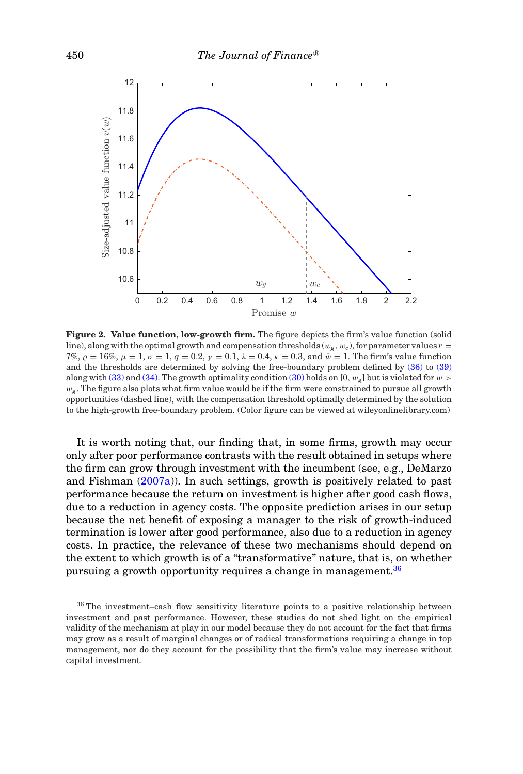

**Figure 2. Value function, low-growth firm.** The figure depicts the firm's value function (solid line), along with the optimal growth and compensation thresholds  $(w_g, w_c)$ , for parameter values  $r =$ 7%,  $\rho = 16\%$ ,  $\mu = 1$ ,  $\sigma = 1$ ,  $q = 0.2$ ,  $\gamma = 0.1$ ,  $\lambda = 0.4$ ,  $\kappa = 0.3$ , and  $\bar{w} = 1$ . The firm's value function and the thresholds are determined by solving the free-boundary problem defined by (36) to (39) along with (33) and (34). The growth optimality condition (30) holds on [0,  $w_g$ ] but is violated for  $w >$  $w_g$ . The figure also plots what firm value would be if the firm were constrained to pursue all growth opportunities (dashed line), with the compensation threshold optimally determined by the solution to the high-growth free-boundary problem. (Color figure can be viewed at wileyonlinelibrary.com)

It is worth noting that, our finding that, in some firms, growth may occur only after poor performance contrasts with the result obtained in setups where the firm can grow through investment with the incumbent (see, e.g., DeMarzo and Fishman (2007a)). In such settings, growth is positively related to past performance because the return on investment is higher after good cash flows, due to a reduction in agency costs. The opposite prediction arises in our setup because the net benefit of exposing a manager to the risk of growth-induced termination is lower after good performance, also due to a reduction in agency costs. In practice, the relevance of these two mechanisms should depend on the extent to which growth is of a "transformative" nature, that is, on whether pursuing a growth opportunity requires a change in management.<sup>36</sup>

<sup>36</sup> The investment–cash flow sensitivity literature points to a positive relationship between investment and past performance. However, these studies do not shed light on the empirical validity of the mechanism at play in our model because they do not account for the fact that firms may grow as a result of marginal changes or of radical transformations requiring a change in top management, nor do they account for the possibility that the firm's value may increase without capital investment.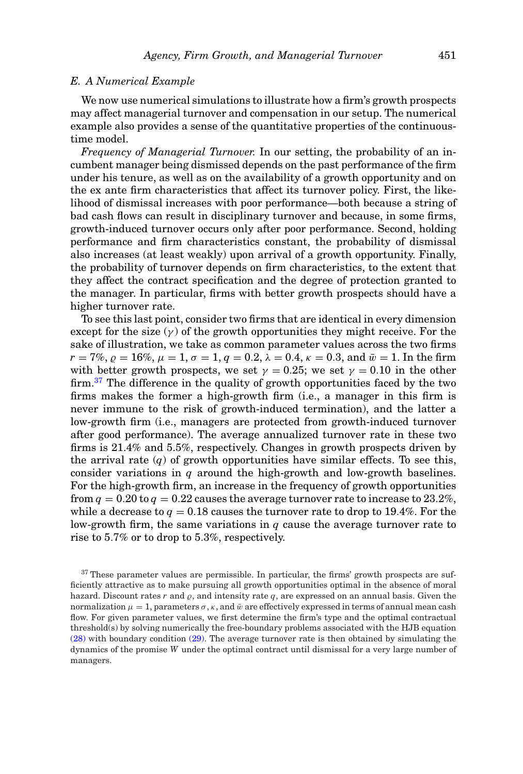#### *E. A Numerical Example*

We now use numerical simulations to illustrate how a firm's growth prospects may affect managerial turnover and compensation in our setup. The numerical example also provides a sense of the quantitative properties of the continuoustime model.

*Frequency of Managerial Turnover.* In our setting, the probability of an incumbent manager being dismissed depends on the past performance of the firm under his tenure, as well as on the availability of a growth opportunity and on the ex ante firm characteristics that affect its turnover policy. First, the likelihood of dismissal increases with poor performance—both because a string of bad cash flows can result in disciplinary turnover and because, in some firms, growth-induced turnover occurs only after poor performance. Second, holding performance and firm characteristics constant, the probability of dismissal also increases (at least weakly) upon arrival of a growth opportunity. Finally, the probability of turnover depends on firm characteristics, to the extent that they affect the contract specification and the degree of protection granted to the manager. In particular, firms with better growth prospects should have a higher turnover rate.

To see this last point, consider two firms that are identical in every dimension except for the size  $(\gamma)$  of the growth opportunities they might receive. For the sake of illustration, we take as common parameter values across the two firms  $r = 7\%, \varrho = 16\%, \mu = 1, \sigma = 1, q = 0.2, \lambda = 0.4, \kappa = 0.3, \text{and } \bar{w} = 1$ . In the firm with better growth prospects, we set  $\gamma = 0.25$ ; we set  $\gamma = 0.10$  in the other firm.37 The difference in the quality of growth opportunities faced by the two firms makes the former a high-growth firm (i.e., a manager in this firm is never immune to the risk of growth-induced termination), and the latter a low-growth firm (i.e., managers are protected from growth-induced turnover after good performance). The average annualized turnover rate in these two firms is 21.4% and 5.5%, respectively. Changes in growth prospects driven by the arrival rate  $(q)$  of growth opportunities have similar effects. To see this, consider variations in *q* around the high-growth and low-growth baselines. For the high-growth firm, an increase in the frequency of growth opportunities from  $q = 0.20$  to  $q = 0.22$  causes the average turnover rate to increase to 23.2%, while a decrease to  $q = 0.18$  causes the turnover rate to drop to 19.4%. For the low-growth firm, the same variations in *q* cause the average turnover rate to rise to 5.7% or to drop to 5.3%, respectively.

<sup>&</sup>lt;sup>37</sup> These parameter values are permissible. In particular, the firms' growth prospects are sufficiently attractive as to make pursuing all growth opportunities optimal in the absence of moral hazard. Discount rates  $r$  and  $\varrho$ , and intensity rate  $q$ , are expressed on an annual basis. Given the normalization  $\mu = 1$ , parameters  $\sigma, \kappa$ , and  $\bar{w}$  are effectively expressed in terms of annual mean cash flow. For given parameter values, we first determine the firm's type and the optimal contractual threshold(s) by solving numerically the free-boundary problems associated with the HJB equation (28) with boundary condition (29). The average turnover rate is then obtained by simulating the dynamics of the promise *W* under the optimal contract until dismissal for a very large number of managers.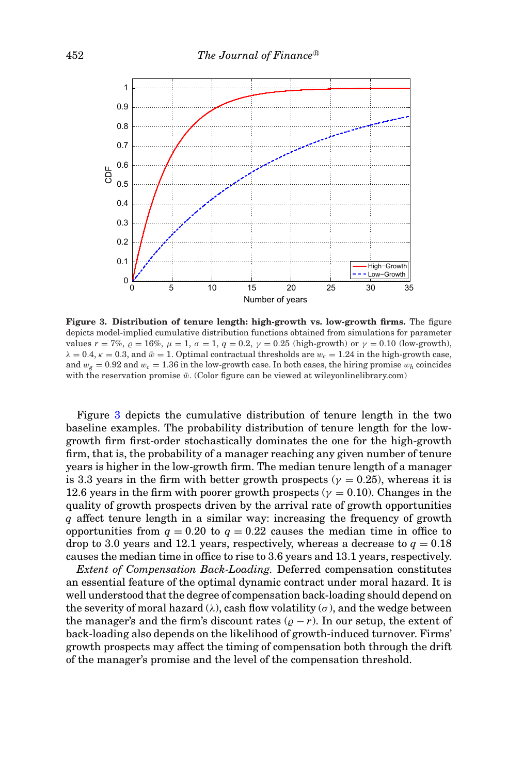

**Figure 3. Distribution of tenure length: high-growth vs. low-growth firms.** The figure depicts model-implied cumulative distribution functions obtained from simulations for parameter values  $r = 7\%, \varrho = 16\%, \mu = 1, \sigma = 1, q = 0.2, \gamma = 0.25$  (high-growth) or  $\gamma = 0.10$  (low-growth),  $\lambda = 0.4$ ,  $\kappa = 0.3$ , and  $\bar{w} = 1$ . Optimal contractual thresholds are  $w_c = 1.24$  in the high-growth case, and  $w_g = 0.92$  and  $w_c = 1.36$  in the low-growth case. In both cases, the hiring promise  $w_h$  coincides with the reservation promise  $\bar{w}$ . (Color figure can be viewed at wileyonlinelibrary.com)

Figure 3 depicts the cumulative distribution of tenure length in the two baseline examples. The probability distribution of tenure length for the lowgrowth firm first-order stochastically dominates the one for the high-growth firm, that is, the probability of a manager reaching any given number of tenure years is higher in the low-growth firm. The median tenure length of a manager is 3.3 years in the firm with better growth prospects ( $\gamma = 0.25$ ), whereas it is 12.6 years in the firm with poorer growth prospects ( $\gamma = 0.10$ ). Changes in the quality of growth prospects driven by the arrival rate of growth opportunities *q* affect tenure length in a similar way: increasing the frequency of growth opportunities from  $q = 0.20$  to  $q = 0.22$  causes the median time in office to drop to 3.0 years and 12.1 years, respectively, whereas a decrease to  $q = 0.18$ causes the median time in office to rise to 3.6 years and 13.1 years, respectively.

*Extent of Compensation Back-Loading.* Deferred compensation constitutes an essential feature of the optimal dynamic contract under moral hazard. It is well understood that the degree of compensation back-loading should depend on the severity of moral hazard ( $\lambda$ ), cash flow volatility ( $\sigma$ ), and the wedge between the manager's and the firm's discount rates  $(\varrho - r)$ . In our setup, the extent of back-loading also depends on the likelihood of growth-induced turnover. Firms' growth prospects may affect the timing of compensation both through the drift of the manager's promise and the level of the compensation threshold.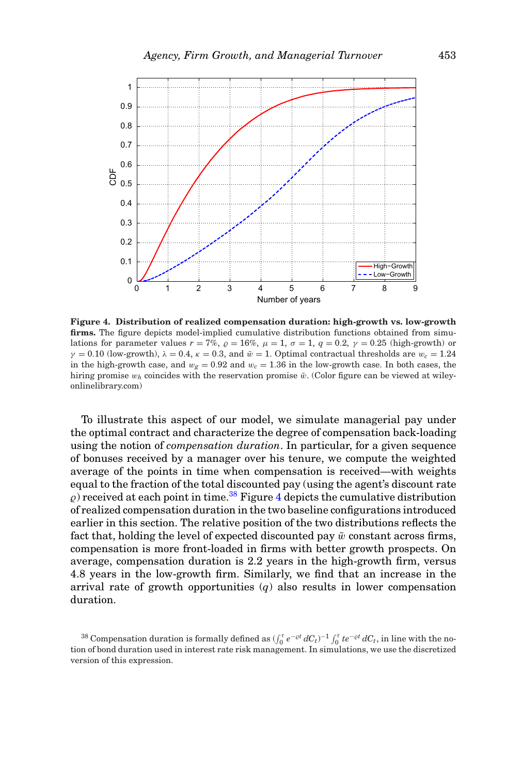

**Figure 4. Distribution of realized compensation duration: high-growth vs. low-growth firms.** The figure depicts model-implied cumulative distribution functions obtained from simulations for parameter values  $r = 7\%$ ,  $\rho = 16\%$ ,  $\mu = 1$ ,  $\sigma = 1$ ,  $q = 0.2$ ,  $\gamma = 0.25$  (high-growth) or  $\gamma = 0.10$  (low-growth),  $\lambda = 0.4$ ,  $\kappa = 0.3$ , and  $\bar{w} = 1$ . Optimal contractual thresholds are  $w_c = 1.24$ in the high-growth case, and  $w_g = 0.92$  and  $w_c = 1.36$  in the low-growth case. In both cases, the hiring promise  $w_h$  coincides with the reservation promise  $\bar{w}$ . (Color figure can be viewed at wileyonlinelibrary.com)

To illustrate this aspect of our model, we simulate managerial pay under the optimal contract and characterize the degree of compensation back-loading using the notion of *compensation duration*. In particular, for a given sequence of bonuses received by a manager over his tenure, we compute the weighted average of the points in time when compensation is received—with weights equal to the fraction of the total discounted pay (using the agent's discount rate  $\varrho$ ) received at each point in time.<sup>38</sup> Figure 4 depicts the cumulative distribution of realized compensation duration in the two baseline configurations introduced earlier in this section. The relative position of the two distributions reflects the fact that, holding the level of expected discounted pay  $\bar{w}$  constant across firms, compensation is more front-loaded in firms with better growth prospects. On average, compensation duration is 2.2 years in the high-growth firm, versus 4.8 years in the low-growth firm. Similarly, we find that an increase in the arrival rate of growth opportunities (*q*) also results in lower compensation duration.

 $^{38}$  Compensation duration is formally defined as  $(\int_0^{\tau} e^{-ct} dC_t)^{-1} \int_0^{\tau} te^{-ct} dC_t$ , in line with the notion of bond duration used in interest rate risk management. In simulations, we use the discretized version of this expression.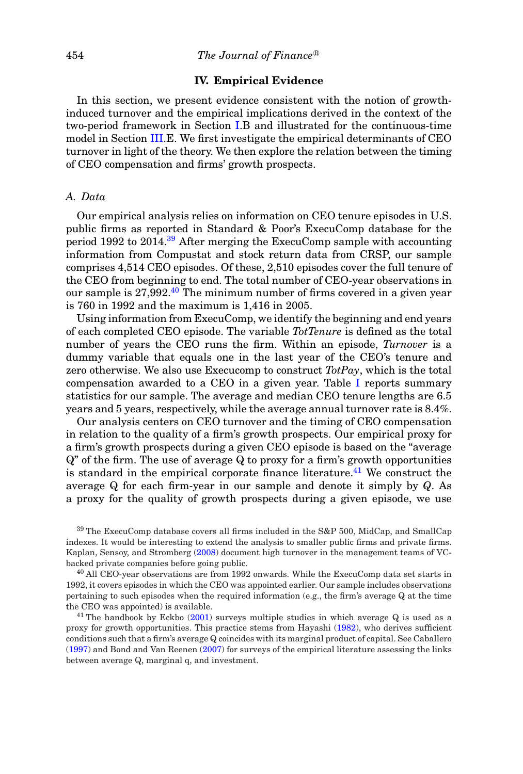#### **IV. Empirical Evidence**

In this section, we present evidence consistent with the notion of growthinduced turnover and the empirical implications derived in the context of the two-period framework in Section I.B and illustrated for the continuous-time model in Section III.E. We first investigate the empirical determinants of CEO turnover in light of the theory. We then explore the relation between the timing of CEO compensation and firms' growth prospects.

# *A. Data*

Our empirical analysis relies on information on CEO tenure episodes in U.S. public firms as reported in Standard & Poor's ExecuComp database for the period 1992 to 2014.39 After merging the ExecuComp sample with accounting information from Compustat and stock return data from CRSP, our sample comprises 4,514 CEO episodes. Of these, 2,510 episodes cover the full tenure of the CEO from beginning to end. The total number of CEO-year observations in our sample is  $27,992$ .<sup>40</sup> The minimum number of firms covered in a given year is 760 in 1992 and the maximum is 1,416 in 2005.

Using information from ExecuComp, we identify the beginning and end years of each completed CEO episode. The variable *TotTenure* is defined as the total number of years the CEO runs the firm. Within an episode, *Turnover* is a dummy variable that equals one in the last year of the CEO's tenure and zero otherwise. We also use Execucomp to construct *TotPay*, which is the total compensation awarded to a CEO in a given year. Table I reports summary statistics for our sample. The average and median CEO tenure lengths are 6.5 years and 5 years, respectively, while the average annual turnover rate is 8.4%.

Our analysis centers on CEO turnover and the timing of CEO compensation in relation to the quality of a firm's growth prospects. Our empirical proxy for a firm's growth prospects during a given CEO episode is based on the "average Q" of the firm. The use of average Q to proxy for a firm's growth opportunities is standard in the empirical corporate finance literature.<sup>41</sup> We construct the average Q for each firm-year in our sample and denote it simply by *Q*. As a proxy for the quality of growth prospects during a given episode, we use

<sup>39</sup> The ExecuComp database covers all firms included in the S&P 500, MidCap, and SmallCap indexes. It would be interesting to extend the analysis to smaller public firms and private firms. Kaplan, Sensoy, and Stromberg (2008) document high turnover in the management teams of VCbacked private companies before going public.

<sup>40</sup> All CEO-year observations are from 1992 onwards. While the ExecuComp data set starts in 1992, it covers episodes in which the CEO was appointed earlier. Our sample includes observations pertaining to such episodes when the required information (e.g., the firm's average Q at the time the CEO was appointed) is available.

<sup>41</sup> The handbook by Eckbo (2001) surveys multiple studies in which average  $Q$  is used as a proxy for growth opportunities. This practice stems from Hayashi (1982), who derives sufficient conditions such that a firm's average Q coincides with its marginal product of capital. See Caballero (1997) and Bond and Van Reenen (2007) for surveys of the empirical literature assessing the links between average Q, marginal q, and investment.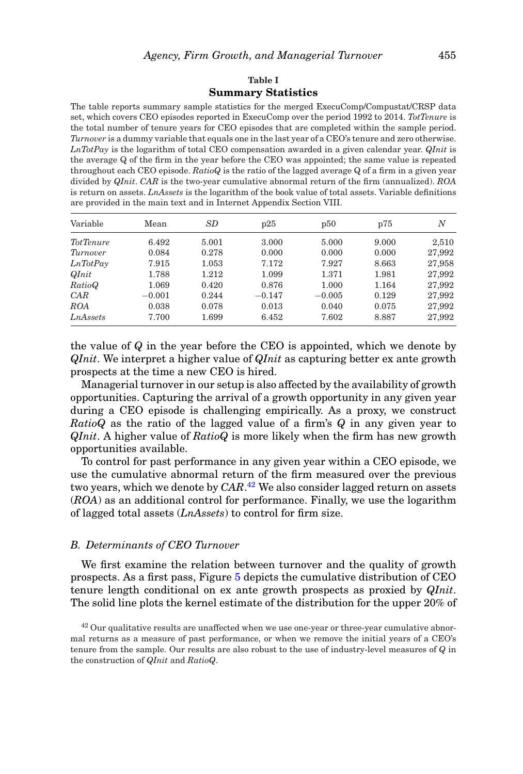# **Table I Summary Statistics**

The table reports summary sample statistics for the merged ExecuComp/Compustat/CRSP data set, which covers CEO episodes reported in ExecuComp over the period 1992 to 2014. *TotTenure* is the total number of tenure years for CEO episodes that are completed within the sample period. *Turnover* is a dummy variable that equals one in the last year of a CEO's tenure and zero otherwise. *LnTotPay* is the logarithm of total CEO compensation awarded in a given calendar year. *QInit* is the average Q of the firm in the year before the CEO was appointed; the same value is repeated throughout each CEO episode. *RatioQ* is the ratio of the lagged average Q of a firm in a given year divided by *QInit*. *CAR* is the two-year cumulative abnormal return of the firm (annualized). *ROA* is return on assets. *LnAssets* is the logarithm of the book value of total assets. Variable definitions are provided in the main text and in Internet Appendix Section VIII.

| Variable         | Mean     | SD    | p25      | p50      | p75   | N      |
|------------------|----------|-------|----------|----------|-------|--------|
| <i>TotTenure</i> | 6.492    | 5.001 | 3.000    | 5.000    | 9.000 | 2,510  |
| Turnover         | 0.084    | 0.278 | 0.000    | 0.000    | 0.000 | 27,992 |
| LnTotPay         | 7.915    | 1.053 | 7.172    | 7.927    | 8.663 | 27,958 |
| <i>QInit</i>     | 1.788    | 1.212 | 1.099    | 1.371    | 1.981 | 27,992 |
| RatioQ           | 1.069    | 0.420 | 0.876    | 1.000    | 1.164 | 27,992 |
| CAR              | $-0.001$ | 0.244 | $-0.147$ | $-0.005$ | 0.129 | 27,992 |
| <b>ROA</b>       | 0.038    | 0.078 | 0.013    | 0.040    | 0.075 | 27,992 |
| <i>LnAssets</i>  | 7.700    | 1.699 | 6.452    | 7.602    | 8.887 | 27,992 |

the value of *Q* in the year before the CEO is appointed, which we denote by *QInit*. We interpret a higher value of *QInit* as capturing better ex ante growth prospects at the time a new CEO is hired.

Managerial turnover in our setup is also affected by the availability of growth opportunities. Capturing the arrival of a growth opportunity in any given year during a CEO episode is challenging empirically. As a proxy, we construct *RatioQ* as the ratio of the lagged value of a firm's *Q* in any given year to *QInit*. A higher value of *RatioQ* is more likely when the firm has new growth opportunities available.

To control for past performance in any given year within a CEO episode, we use the cumulative abnormal return of the firm measured over the previous two years, which we denote by *CAR*. <sup>42</sup> We also consider lagged return on assets (*ROA*) as an additional control for performance. Finally, we use the logarithm of lagged total assets (*LnAssets*) to control for firm size.

#### *B. Determinants of CEO Turnover*

We first examine the relation between turnover and the quality of growth prospects. As a first pass, Figure 5 depicts the cumulative distribution of CEO tenure length conditional on ex ante growth prospects as proxied by *QInit*. The solid line plots the kernel estimate of the distribution for the upper 20% of

 $42$  Our qualitative results are unaffected when we use one-year or three-year cumulative abnormal returns as a measure of past performance, or when we remove the initial years of a CEO's tenure from the sample. Our results are also robust to the use of industry-level measures of *Q* in the construction of *QInit* and *RatioQ*.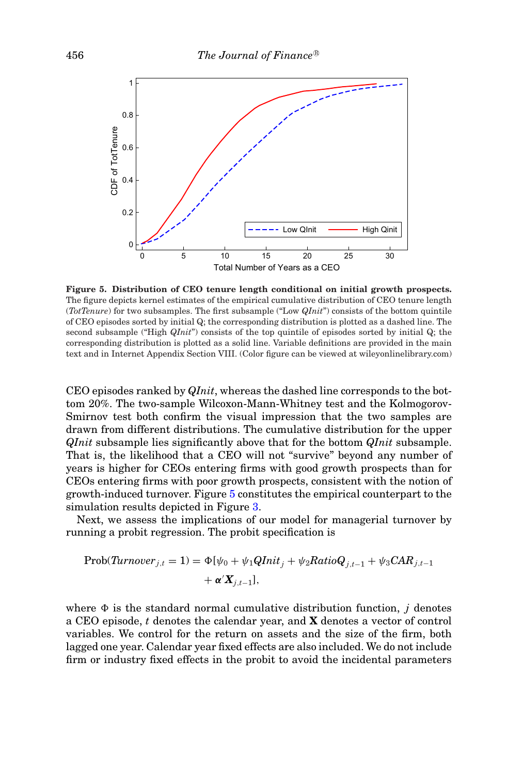

**Figure 5. Distribution of CEO tenure length conditional on initial growth prospects.** The figure depicts kernel estimates of the empirical cumulative distribution of CEO tenure length (*TotTenure*) for two subsamples. The first subsample ("Low *QInit*") consists of the bottom quintile of CEO episodes sorted by initial Q; the corresponding distribution is plotted as a dashed line. The second subsample ("High *QInit*") consists of the top quintile of episodes sorted by initial Q; the corresponding distribution is plotted as a solid line. Variable definitions are provided in the main text and in Internet Appendix Section VIII. (Color figure can be viewed at wileyonlinelibrary.com)

CEO episodes ranked by *QInit*, whereas the dashed line corresponds to the bottom 20%. The two-sample Wilcoxon-Mann-Whitney test and the Kolmogorov-Smirnov test both confirm the visual impression that the two samples are drawn from different distributions. The cumulative distribution for the upper *QInit* subsample lies significantly above that for the bottom *QInit* subsample. That is, the likelihood that a CEO will not "survive" beyond any number of years is higher for CEOs entering firms with good growth prospects than for CEOs entering firms with poor growth prospects, consistent with the notion of growth-induced turnover. Figure 5 constitutes the empirical counterpart to the simulation results depicted in Figure 3.

Next, we assess the implications of our model for managerial turnover by running a probit regression. The probit specification is

$$
\text{Prob}(Turnover_{j,t} = 1) = \Phi[\psi_0 + \psi_1 QInit_j + \psi_2 RatioQ_{j,t-1} + \psi_3 CAR_{j,t-1} + \alpha' \mathbf{X}_{j,t-1}],
$$

where  $\Phi$  is the standard normal cumulative distribution function, *j* denotes a CEO episode, *t* denotes the calendar year, and **X** denotes a vector of control variables. We control for the return on assets and the size of the firm, both lagged one year. Calendar year fixed effects are also included. We do not include firm or industry fixed effects in the probit to avoid the incidental parameters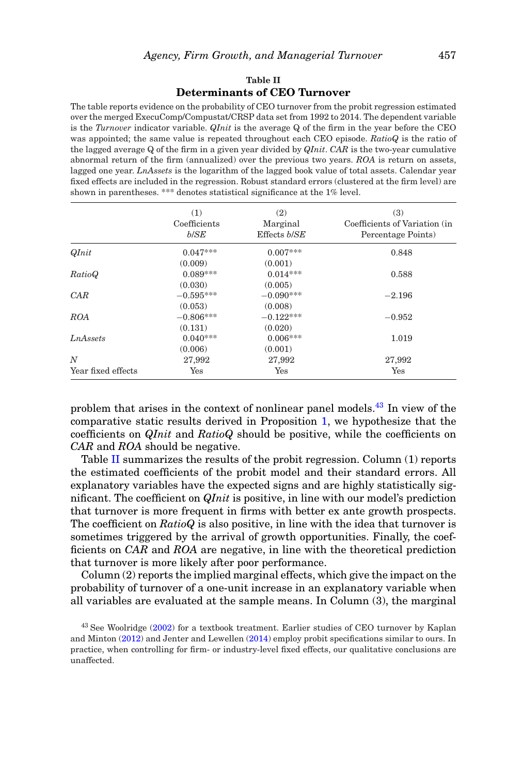# **Table II Determinants of CEO Turnover**

The table reports evidence on the probability of CEO turnover from the probit regression estimated over the merged ExecuComp/Compustat/CRSP data set from 1992 to 2014. The dependent variable is the *Turnover* indicator variable. *QInit* is the average Q of the firm in the year before the CEO was appointed; the same value is repeated throughout each CEO episode. *RatioQ* is the ratio of the lagged average Q of the firm in a given year divided by *QInit*. *CAR* is the two-year cumulative abnormal return of the firm (annualized) over the previous two years. *ROA* is return on assets, lagged one year. *LnAssets* is the logarithm of the lagged book value of total assets. Calendar year fixed effects are included in the regression. Robust standard errors (clustered at the firm level) are shown in parentheses. \*\*\* denotes statistical significance at the 1% level.

|                     | (1)<br>Coefficients<br>b/SE | (2)<br>Marginal<br>Effects b/SE | (3)<br>Coefficients of Variation (in<br>Percentage Points) |
|---------------------|-----------------------------|---------------------------------|------------------------------------------------------------|
| <i><b>QInit</b></i> | $0.047***$                  | $0.007***$                      | 0.848                                                      |
|                     | (0.009)                     | (0.001)                         |                                                            |
| RatioQ              | $0.089***$                  | $0.014***$                      | 0.588                                                      |
|                     | (0.030)                     | (0.005)                         |                                                            |
| CAR                 | $-0.595***$                 | $-0.090***$                     | $-2.196$                                                   |
|                     | (0.053)                     | (0.008)                         |                                                            |
| <b>ROA</b>          | $-0.806***$                 | $-0.122***$                     | $-0.952$                                                   |
|                     | (0.131)                     | (0.020)                         |                                                            |
| LnAssets            | $0.040***$                  | $0.006***$                      | 1.019                                                      |
|                     | (0.006)                     | (0.001)                         |                                                            |
| N                   | 27,992                      | 27,992                          | 27,992                                                     |
| Year fixed effects  | Yes                         | Yes                             | Yes                                                        |

problem that arises in the context of nonlinear panel models.43 In view of the comparative static results derived in Proposition 1, we hypothesize that the coefficients on *QInit* and *RatioQ* should be positive, while the coefficients on *CAR* and *ROA* should be negative.

Table II summarizes the results of the probit regression. Column (1) reports the estimated coefficients of the probit model and their standard errors. All explanatory variables have the expected signs and are highly statistically significant. The coefficient on *QInit* is positive, in line with our model's prediction that turnover is more frequent in firms with better ex ante growth prospects. The coefficient on *RatioQ* is also positive, in line with the idea that turnover is sometimes triggered by the arrival of growth opportunities. Finally, the coefficients on *CAR* and *ROA* are negative, in line with the theoretical prediction that turnover is more likely after poor performance.

Column (2) reports the implied marginal effects, which give the impact on the probability of turnover of a one-unit increase in an explanatory variable when all variables are evaluated at the sample means. In Column (3), the marginal

<sup>43</sup> See Woolridge (2002) for a textbook treatment. Earlier studies of CEO turnover by Kaplan and Minton (2012) and Jenter and Lewellen (2014) employ probit specifications similar to ours. In practice, when controlling for firm- or industry-level fixed effects, our qualitative conclusions are unaffected.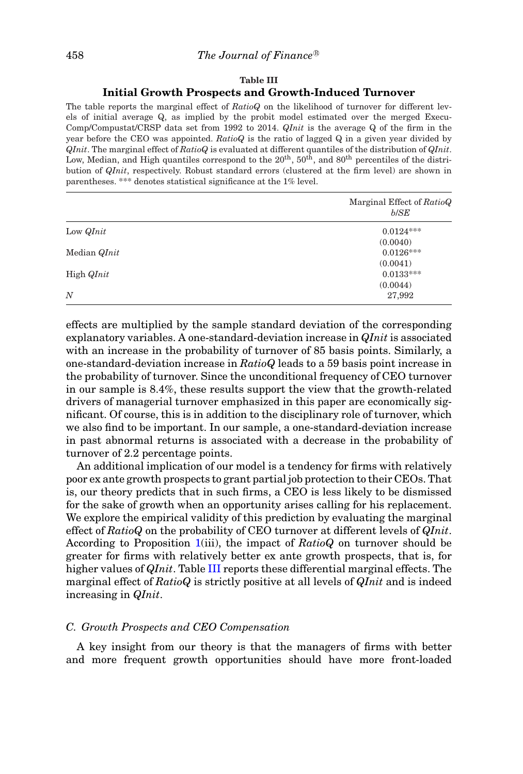## **Table III Initial Growth Prospects and Growth-Induced Turnover**

The table reports the marginal effect of *RatioQ* on the likelihood of turnover for different levels of initial average Q, as implied by the probit model estimated over the merged Execu-Comp/Compustat/CRSP data set from 1992 to 2014. *QInit* is the average Q of the firm in the year before the CEO was appointed. *RatioQ* is the ratio of lagged Q in a given year divided by *QInit*. The marginal effect of *RatioQ* is evaluated at different quantiles of the distribution of *QInit*. Low, Median, and High quantiles correspond to the 20<sup>th</sup>, 50<sup>th</sup>, and 80<sup>th</sup> percentiles of the distribution of *QInit*, respectively. Robust standard errors (clustered at the firm level) are shown in parentheses. \*\*\* denotes statistical significance at the 1% level.

|                     | Marginal Effect of RatioQ<br>b/SE |
|---------------------|-----------------------------------|
| Low <i>QInit</i>    | $0.0124***$                       |
|                     | (0.0040)                          |
| Median <i>QInit</i> | $0.0126***$                       |
|                     | (0.0041)                          |
| High <i>QInit</i>   | $0.0133***$                       |
|                     | (0.0044)                          |
| $\boldsymbol{N}$    | 27,992                            |

effects are multiplied by the sample standard deviation of the corresponding explanatory variables. A one-standard-deviation increase in *QInit* is associated with an increase in the probability of turnover of 85 basis points. Similarly, a one-standard-deviation increase in *RatioQ* leads to a 59 basis point increase in the probability of turnover. Since the unconditional frequency of CEO turnover in our sample is 8.4%, these results support the view that the growth-related drivers of managerial turnover emphasized in this paper are economically significant. Of course, this is in addition to the disciplinary role of turnover, which we also find to be important. In our sample, a one-standard-deviation increase in past abnormal returns is associated with a decrease in the probability of turnover of 2.2 percentage points.

An additional implication of our model is a tendency for firms with relatively poor ex ante growth prospects to grant partial job protection to their CEOs. That is, our theory predicts that in such firms, a CEO is less likely to be dismissed for the sake of growth when an opportunity arises calling for his replacement. We explore the empirical validity of this prediction by evaluating the marginal effect of *RatioQ* on the probability of CEO turnover at different levels of *QInit*. According to Proposition 1(iii), the impact of *RatioQ* on turnover should be greater for firms with relatively better ex ante growth prospects, that is, for higher values of *QInit*. Table III reports these differential marginal effects. The marginal effect of *RatioQ* is strictly positive at all levels of *QInit* and is indeed increasing in *QInit*.

# *C. Growth Prospects and CEO Compensation*

A key insight from our theory is that the managers of firms with better and more frequent growth opportunities should have more front-loaded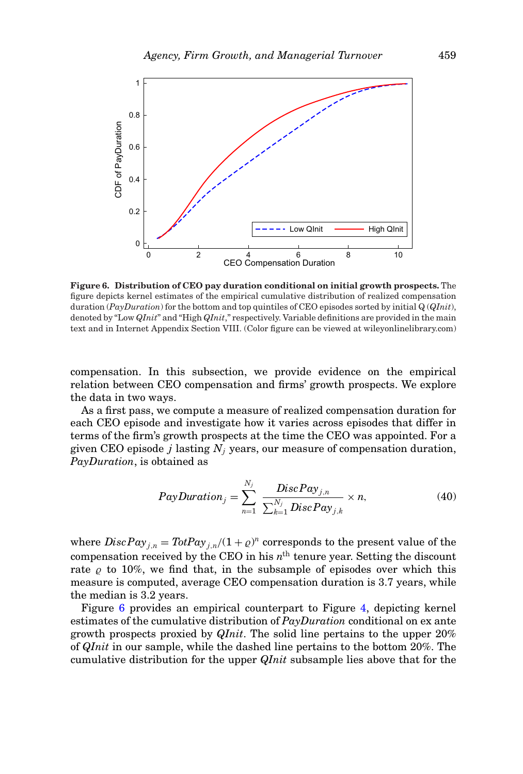

**Figure 6. Distribution of CEO pay duration conditional on initial growth prospects.** The figure depicts kernel estimates of the empirical cumulative distribution of realized compensation duration (*PayDuration*) for the bottom and top quintiles of CEO episodes sorted by initial Q (*QInit*), denoted by "Low *QInit*" and "High *QInit*," respectively. Variable definitions are provided in the main text and in Internet Appendix Section VIII. (Color figure can be viewed at wileyonlinelibrary.com)

compensation. In this subsection, we provide evidence on the empirical relation between CEO compensation and firms' growth prospects. We explore the data in two ways.

As a first pass, we compute a measure of realized compensation duration for each CEO episode and investigate how it varies across episodes that differ in terms of the firm's growth prospects at the time the CEO was appointed. For a given CEO episode *j* lasting  $N_i$  years, our measure of compensation duration, *PayDuration*, is obtained as

$$
PayDuration_j = \sum_{n=1}^{N_j} \frac{DiscPay_{j,n}}{\sum_{k=1}^{N_j} DiscPay_{j,k}} \times n,
$$
\n(40)

where  $DiscPay_{j,n} = TotPay_{j,n}/(1+\varrho)^n$  corresponds to the present value of the compensation received by the CEO in his  $n<sup>th</sup>$  tenure year. Setting the discount rate  $\rho$  to 10%, we find that, in the subsample of episodes over which this measure is computed, average CEO compensation duration is 3.7 years, while the median is 3.2 years.

Figure 6 provides an empirical counterpart to Figure 4, depicting kernel estimates of the cumulative distribution of *PayDuration* conditional on ex ante growth prospects proxied by *QInit*. The solid line pertains to the upper 20% of *QInit* in our sample, while the dashed line pertains to the bottom 20%. The cumulative distribution for the upper *QInit* subsample lies above that for the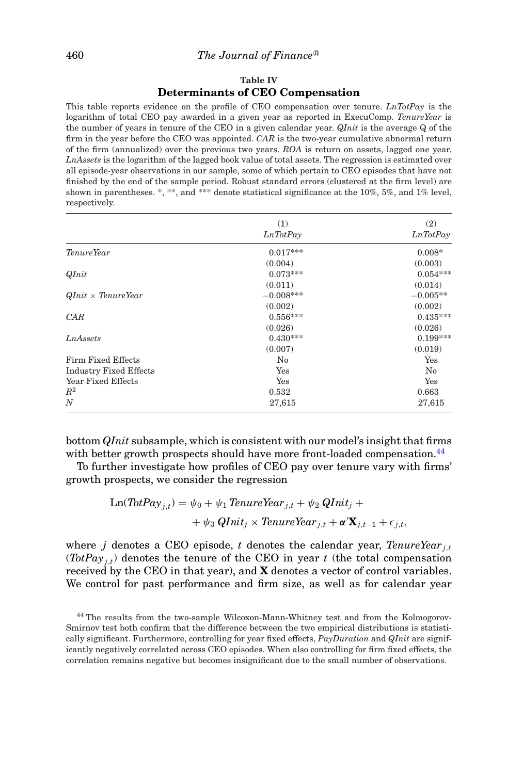# **Table IV Determinants of CEO Compensation**

This table reports evidence on the profile of CEO compensation over tenure. *LnTotPay* is the logarithm of total CEO pay awarded in a given year as reported in ExecuComp. *TenureYear* is the number of years in tenure of the CEO in a given calendar year. *QInit* is the average Q of the firm in the year before the CEO was appointed. *CAR* is the two-year cumulative abnormal return of the firm (annualized) over the previous two years. *ROA* is return on assets, lagged one year. *LnAssets* is the logarithm of the lagged book value of total assets. The regression is estimated over all episode-year observations in our sample, some of which pertain to CEO episodes that have not finished by the end of the sample period. Robust standard errors (clustered at the firm level) are shown in parentheses. \*, \*\*, and \*\*\* denote statistical significance at the 10%, 5%, and 1% level, respectively.

|                               | (1)             | (2)             |
|-------------------------------|-----------------|-----------------|
|                               | <i>LnTotPay</i> | <i>LnTotPay</i> |
| <b>TenureYear</b>             | $0.017***$      | $0.008*$        |
|                               | (0.004)         | (0.003)         |
| <i><b>QInit</b></i>           | $0.073***$      | $0.054***$      |
|                               | (0.011)         | (0.014)         |
| $QInit \times TenureYear$     | $-0.008***$     | $-0.005**$      |
|                               | (0.002)         | (0.002)         |
| CAR                           | $0.556***$      | $0.435***$      |
|                               | (0.026)         | (0.026)         |
| <b>LnAssets</b>               | $0.430***$      | $0.199***$      |
|                               | (0.007)         | (0.019)         |
| Firm Fixed Effects            | No              | Yes             |
| <b>Industry Fixed Effects</b> | Yes             | $\rm No$        |
| Year Fixed Effects            | Yes             | Yes             |
| $\mathbb{R}^2$                | 0.532           | 0.663           |
| $\boldsymbol{N}$              | 27,615          | 27,615          |

bottom *QInit* subsample, which is consistent with our model's insight that firms with better growth prospects should have more front-loaded compensation.<sup>44</sup>

To further investigate how profiles of CEO pay over tenure vary with firms' growth prospects, we consider the regression

Ln(*TotPay*<sub>j,t</sub>) = 
$$
\psi_0 + \psi_1
$$
TenureYear<sub>j,t</sub> +  $\psi_2$ QInit<sub>j</sub> +  
+  $\psi_3$ QInit<sub>j</sub> × TenureYear<sub>j,t</sub> +  $\alpha'X_{j,t-1}$  +  $\epsilon_{j,t}$ ,

where *j* denotes a CEO episode, *t* denotes the calendar year, *TenureYear <sup>j</sup>*,*<sup>t</sup>*  $(TotPay_{i,t})$  denotes the tenure of the CEO in year *t* (the total compensation received by the CEO in that year), and **X** denotes a vector of control variables. We control for past performance and firm size, as well as for calendar year

<sup>44</sup> The results from the two-sample Wilcoxon-Mann-Whitney test and from the Kolmogorov-Smirnov test both confirm that the difference between the two empirical distributions is statistically significant. Furthermore, controlling for year fixed effects, *PayDuration* and *QInit* are significantly negatively correlated across CEO episodes. When also controlling for firm fixed effects, the correlation remains negative but becomes insignificant due to the small number of observations.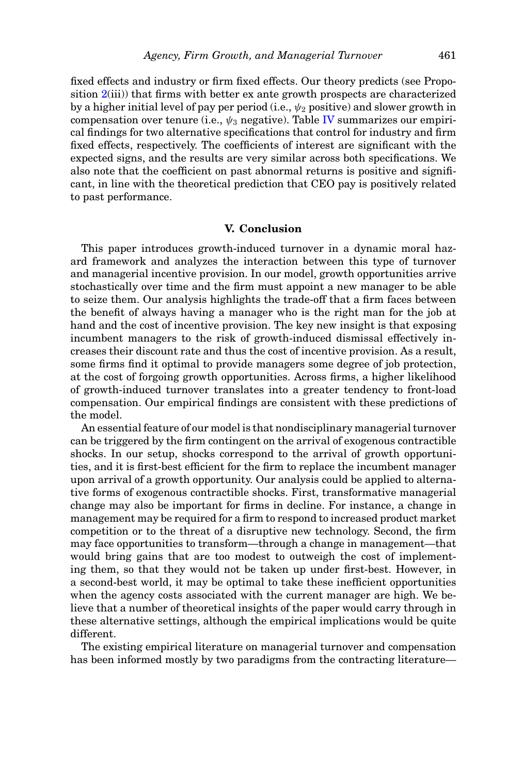fixed effects and industry or firm fixed effects. Our theory predicts (see Proposition 2(iii)) that firms with better ex ante growth prospects are characterized by a higher initial level of pay per period (i.e.,  $\psi_2$  positive) and slower growth in compensation over tenure (i.e.,  $\psi_3$  negative). Table IV summarizes our empirical findings for two alternative specifications that control for industry and firm fixed effects, respectively. The coefficients of interest are significant with the expected signs, and the results are very similar across both specifications. We also note that the coefficient on past abnormal returns is positive and significant, in line with the theoretical prediction that CEO pay is positively related to past performance.

# **V. Conclusion**

This paper introduces growth-induced turnover in a dynamic moral hazard framework and analyzes the interaction between this type of turnover and managerial incentive provision. In our model, growth opportunities arrive stochastically over time and the firm must appoint a new manager to be able to seize them. Our analysis highlights the trade-off that a firm faces between the benefit of always having a manager who is the right man for the job at hand and the cost of incentive provision. The key new insight is that exposing incumbent managers to the risk of growth-induced dismissal effectively increases their discount rate and thus the cost of incentive provision. As a result, some firms find it optimal to provide managers some degree of job protection, at the cost of forgoing growth opportunities. Across firms, a higher likelihood of growth-induced turnover translates into a greater tendency to front-load compensation. Our empirical findings are consistent with these predictions of the model.

An essential feature of our model is that nondisciplinary managerial turnover can be triggered by the firm contingent on the arrival of exogenous contractible shocks. In our setup, shocks correspond to the arrival of growth opportunities, and it is first-best efficient for the firm to replace the incumbent manager upon arrival of a growth opportunity. Our analysis could be applied to alternative forms of exogenous contractible shocks. First, transformative managerial change may also be important for firms in decline. For instance, a change in management may be required for a firm to respond to increased product market competition or to the threat of a disruptive new technology. Second, the firm may face opportunities to transform—through a change in management—that would bring gains that are too modest to outweigh the cost of implementing them, so that they would not be taken up under first-best. However, in a second-best world, it may be optimal to take these inefficient opportunities when the agency costs associated with the current manager are high. We believe that a number of theoretical insights of the paper would carry through in these alternative settings, although the empirical implications would be quite different.

The existing empirical literature on managerial turnover and compensation has been informed mostly by two paradigms from the contracting literature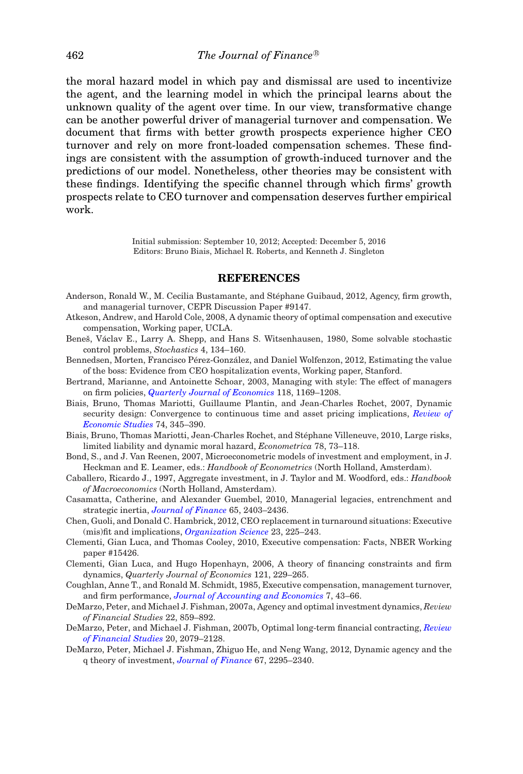the moral hazard model in which pay and dismissal are used to incentivize the agent, and the learning model in which the principal learns about the unknown quality of the agent over time. In our view, transformative change can be another powerful driver of managerial turnover and compensation. We document that firms with better growth prospects experience higher CEO turnover and rely on more front-loaded compensation schemes. These findings are consistent with the assumption of growth-induced turnover and the predictions of our model. Nonetheless, other theories may be consistent with these findings. Identifying the specific channel through which firms' growth prospects relate to CEO turnover and compensation deserves further empirical work.

> Initial submission: September 10, 2012; Accepted: December 5, 2016 Editors: Bruno Biais, Michael R. Roberts, and Kenneth J. Singleton

#### **REFERENCES**

- Anderson, Ronald W., M. Cecilia Bustamante, and Stephane Guibaud, 2012, Agency, firm growth, ´ and managerial turnover, CEPR Discussion Paper #9147.
- Atkeson, Andrew, and Harold Cole, 2008, A dynamic theory of optimal compensation and executive compensation, Working paper, UCLA.
- Beneš, Václav E., Larry A. Shepp, and Hans S. Witsenhausen, 1980, Some solvable stochastic control problems, *Stochastics* 4, 134–160.
- Bennedsen, Morten, Francisco Pérez-González, and Daniel Wolfenzon, 2012, Estimating the value of the boss: Evidence from CEO hospitalization events, Working paper, Stanford.
- Bertrand, Marianne, and Antoinette Schoar, 2003, Managing with style: The effect of managers on firm policies, *[Quarterly Journal of Economics](http://dx.doi.org/10.1162/003355303322552775)* 118, 1169–1208.
- Biais, Bruno, Thomas Mariotti, Guillaume Plantin, and Jean-Charles Rochet, 2007, Dynamic security design: Convergence to continuous time and asset pricing implications, *[Review of](http://dx.doi.org/10.1111/j.1467-937X.2007.00425.x) [Economic Studies](http://dx.doi.org/10.1111/j.1467-937X.2007.00425.x)* 74, 345–390.
- Biais, Bruno, Thomas Mariotti, Jean-Charles Rochet, and Stephane Villeneuve, 2010, Large risks, ´ limited liability and dynamic moral hazard, *Econometrica* 78, 73–118.
- Bond, S., and J. Van Reenen, 2007, Microeconometric models of investment and employment, in J. Heckman and E. Leamer, eds.: *Handbook of Econometrics* (North Holland, Amsterdam).
- Caballero, Ricardo J., 1997, Aggregate investment, in J. Taylor and M. Woodford, eds.: *Handbook of Macroeconomics* (North Holland, Amsterdam).
- Casamatta, Catherine, and Alexander Guembel, 2010, Managerial legacies, entrenchment and strategic inertia, *[Journal of Finance](http://dx.doi.org/10.1111/j.1540-6261.2010.01619.x)* 65, 2403–2436.
- Chen, Guoli, and Donald C. Hambrick, 2012, CEO replacement in turnaround situations: Executive (mis)fit and implications, *[Organization Science](http://dx.doi.org/10.1287/orsc.1100.0629)* 23, 225–243.
- Clementi, Gian Luca, and Thomas Cooley, 2010, Executive compensation: Facts, NBER Working paper #15426.
- Clementi, Gian Luca, and Hugo Hopenhayn, 2006, A theory of financing constraints and firm dynamics, *Quarterly Journal of Economics* 121, 229–265.
- Coughlan, Anne T., and Ronald M. Schmidt, 1985, Executive compensation, management turnover, and firm performance, *[Journal of Accounting and Economics](http://dx.doi.org/10.1016/0165-4101(85)90027-8)* 7, 43–66.
- DeMarzo, Peter, and Michael J. Fishman, 2007a, Agency and optimal investment dynamics, *Review of Financial Studies* 22, 859–892.
- DeMarzo, Peter, and Michael J. Fishman, 2007b, Optimal long-term financial contracting, *[Review](http://dx.doi.org/10.1093/rfs/hhm031) [of Financial Studies](http://dx.doi.org/10.1093/rfs/hhm031)* 20, 2079–2128.
- DeMarzo, Peter, Michael J. Fishman, Zhiguo He, and Neng Wang, 2012, Dynamic agency and the q theory of investment, *[Journal of Finance](http://dx.doi.org/10.1111/j.1540-6261.2012.01787.x)* 67, 2295–2340.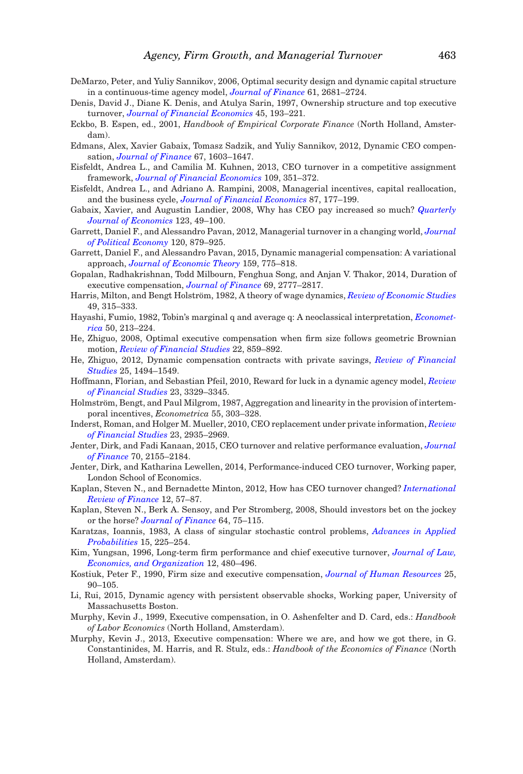- DeMarzo, Peter, and Yuliy Sannikov, 2006, Optimal security design and dynamic capital structure in a continuous-time agency model, *[Journal of Finance](http://dx.doi.org/10.1111/j.1540-6261.2006.01002.x)* 61, 2681–2724.
- Denis, David J., Diane K. Denis, and Atulya Sarin, 1997, Ownership structure and top executive turnover, *[Journal of Financial Economics](http://dx.doi.org/10.1016/S0304-405X(97)00016-0)* 45, 193–221.
- Eckbo, B. Espen, ed., 2001, *Handbook of Empirical Corporate Finance* (North Holland, Amsterdam).
- Edmans, Alex, Xavier Gabaix, Tomasz Sadzik, and Yuliy Sannikov, 2012, Dynamic CEO compensation, *[Journal of Finance](http://dx.doi.org/10.1111/j.1540-6261.2012.01768.x)* 67, 1603–1647.
- Eisfeldt, Andrea L., and Camilia M. Kuhnen, 2013, CEO turnover in a competitive assignment framework, *[Journal of Financial Economics](http://dx.doi.org/10.1016/j.jfineco.2013.02.020)* 109, 351–372.
- Eisfeldt, Andrea L., and Adriano A. Rampini, 2008, Managerial incentives, capital reallocation, and the business cycle, *[Journal of Financial Economics](http://dx.doi.org/10.1016/j.jfineco.2006.11.007)* 87, 177–199.
- Gabaix, Xavier, and Augustin Landier, 2008, Why has CEO pay increased so much? *[Quarterly](http://dx.doi.org/10.1162/qjec.2008.123.1.49) [Journal of Economics](http://dx.doi.org/10.1162/qjec.2008.123.1.49)* 123, 49–100.
- Garrett, Daniel F., and Alessandro Pavan, 2012, Managerial turnover in a changing world, *[Journal](http://dx.doi.org/10.1086/668836) [of Political Economy](http://dx.doi.org/10.1086/668836)* 120, 879–925.
- Garrett, Daniel F., and Alessandro Pavan, 2015, Dynamic managerial compensation: A variational approach, *[Journal of Economic Theory](http://dx.doi.org/10.1016/j.jet.2015.04.004)* 159, 775–818.
- Gopalan, Radhakrishnan, Todd Milbourn, Fenghua Song, and Anjan V. Thakor, 2014, Duration of executive compensation, *[Journal of Finance](http://dx.doi.org/10.1111/jofi.12085)* 69, 2777–2817.
- Harris, Milton, and Bengt Holström, 1982, A theory of wage dynamics, [Review of Economic Studies](http://dx.doi.org/10.2307/2297359) 49, 315–333.
- Hayashi, Fumio, 1982, Tobin's marginal q and average q: A neoclassical interpretation, *[Economet](http://dx.doi.org/10.2307/1912538)[rica](http://dx.doi.org/10.2307/1912538)* 50, 213–224.
- He, Zhiguo, 2008, Optimal executive compensation when firm size follows geometric Brownian motion, *[Review of Financial Studies](http://dx.doi.org/10.1093/rfs/hhn037)* 22, 859–892.
- He, Zhiguo, 2012, Dynamic compensation contracts with private savings, *[Review of Financial](http://dx.doi.org/10.1093/rfs/hhs054) [Studies](http://dx.doi.org/10.1093/rfs/hhs054)* 25, 1494–1549.
- Hoffmann, Florian, and Sebastian Pfeil, 2010, Reward for luck in a dynamic agency model, *[Review](http://dx.doi.org/10.1093/rfs/hhq062) [of Financial Studies](http://dx.doi.org/10.1093/rfs/hhq062)* 23, 3329–3345.
- Holmström, Bengt, and Paul Milgrom, 1987, Aggregation and linearity in the provision of intertemporal incentives, *Econometrica* 55, 303–328.
- Inderst, Roman, and Holger M. Mueller, 2010, CEO replacement under private information, *[Review](http://dx.doi.org/10.1093/rfs/hhq018) [of Financial Studies](http://dx.doi.org/10.1093/rfs/hhq018)* 23, 2935–2969.
- Jenter, Dirk, and Fadi Kanaan, 2015, CEO turnover and relative performance evaluation, *[Journal](http://dx.doi.org/10.1111/jofi.12282) [of Finance](http://dx.doi.org/10.1111/jofi.12282)* 70, 2155–2184.
- Jenter, Dirk, and Katharina Lewellen, 2014, Performance-induced CEO turnover, Working paper, London School of Economics.
- Kaplan, Steven N., and Bernadette Minton, 2012, How has CEO turnover changed? *[International](http://dx.doi.org/10.1111/j.1468-2443.2011.01135.x) [Review of Finance](http://dx.doi.org/10.1111/j.1468-2443.2011.01135.x)* 12, 57–87.
- Kaplan, Steven N., Berk A. Sensoy, and Per Stromberg, 2008, Should investors bet on the jockey or the horse? *[Journal of Finance](http://dx.doi.org/10.1111/j.1540-6261.2008.01429.x)* 64, 75–115.
- Karatzas, Ioannis, 1983, A class of singular stochastic control problems, *[Advances in Applied](http://dx.doi.org/10.1017/S0001867800021169) [Probabilities](http://dx.doi.org/10.1017/S0001867800021169)* 15, 225–254.
- Kim, Yungsan, 1996, Long-term firm performance and chief executive turnover, *[Journal of Law,](http://dx.doi.org/10.1093/oxfordjournals.jleo.a023372) [Economics, and Organization](http://dx.doi.org/10.1093/oxfordjournals.jleo.a023372)* 12, 480–496.
- Kostiuk, Peter F., 1990, Firm size and executive compensation, *[Journal of Human Resources](http://dx.doi.org/10.2307/145728)* 25, 90–105.
- Li, Rui, 2015, Dynamic agency with persistent observable shocks, Working paper, University of Massachusetts Boston.
- Murphy, Kevin J., 1999, Executive compensation, in O. Ashenfelter and D. Card, eds.: *Handbook of Labor Economics* (North Holland, Amsterdam).
- Murphy, Kevin J., 2013, Executive compensation: Where we are, and how we got there, in G. Constantinides, M. Harris, and R. Stulz, eds.: *Handbook of the Economics of Finance* (North Holland, Amsterdam).